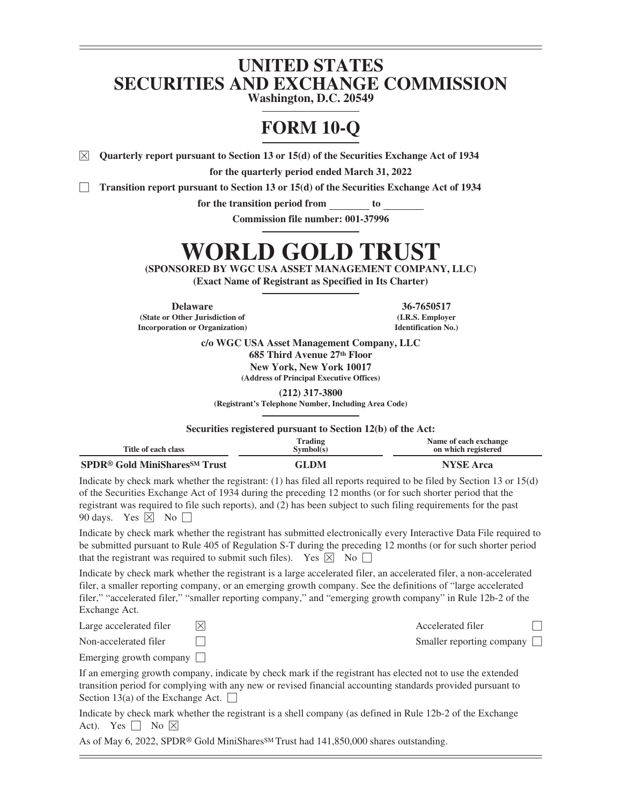# **UNITED STATES SECURITIES AND EXCHANGE COMMISSION**

**Washington, D.C. 20549**

# **FORM 10-Q**

 $\boxtimes$  Quarterly report pursuant to Section 13 or 15(d) of the Securities Exchange Act of 1934

**for the quarterly period ended March 31, 2022**

Transition report pursuant to Section 13 or 15(d) of the Securities Exchange Act of 1934

**for the transition period from to**

**Commission file number: 001-37996**

# **WORLD GOLD TRUST**

**(SPONSORED BY WGC USA ASSET MANAGEMENT COMPANY, LLC)**

**(Exact Name of Registrant as Specified in Its Charter)**

**Delaware 36-7650517 (State or Other Jurisdiction of Incorporation or Organization)**

**(I.R.S. Employer Identification No.)**

**c/o WGC USA Asset Management Company, LLC 685 Third Avenue 27th Floor New York, New York 10017 (Address of Principal Executive Offices)**

**(212) 317-3800**

**(Registrant's Telephone Number, Including Area Code)**

**Securities registered pursuant to Section 12(b) of the Act:**

| Title of each class                                        | Trading<br>Sumbol(s) | Name of each exchange<br>on which registered |
|------------------------------------------------------------|----------------------|----------------------------------------------|
| <b>SPDR<sup>®</sup> Gold MiniShares<sup>SM</sup> Trust</b> | GLDM                 | <b>NYSE</b> Arca                             |

Indicate by check mark whether the registrant: (1) has filed all reports required to be filed by Section 13 or 15(d) of the Securities Exchange Act of 1934 during the preceding 12 months (or for such shorter period that the registrant was required to file such reports), and (2) has been subject to such filing requirements for the past 90 days. Yes  $\boxtimes$  No  $\Box$ 

Indicate by check mark whether the registrant has submitted electronically every Interactive Data File required to be submitted pursuant to Rule 405 of Regulation S-T during the preceding 12 months (or for such shorter period that the registrant was required to submit such files). Yes  $\boxtimes$  No  $\Box$ 

Indicate by check mark whether the registrant is a large accelerated filer, an accelerated filer, a non-accelerated filer, a smaller reporting company, or an emerging growth company. See the definitions of "large accelerated filer," "accelerated filer," "smaller reporting company," and "emerging growth company" in Rule 12b-2 of the Exchange Act.

| Large accelerated filer        | Accelerated filer                |  |
|--------------------------------|----------------------------------|--|
| Non-accelerated filer          | Smaller reporting company $\Box$ |  |
| Emerging growth company $\Box$ |                                  |  |

If an emerging growth company, indicate by check mark if the registrant has elected not to use the extended transition period for complying with any new or revised financial accounting standards provided pursuant to Section 13(a) of the Exchange Act.  $\Box$ 

Indicate by check mark whether the registrant is a shell company (as defined in Rule 12b-2 of the Exchange Act). Yes  $\Box$  No  $\boxtimes$ 

As of May 6, 2022, SPDR<sup>®</sup> Gold MiniShares<sup>SM</sup> Trust had 141,850,000 shares outstanding.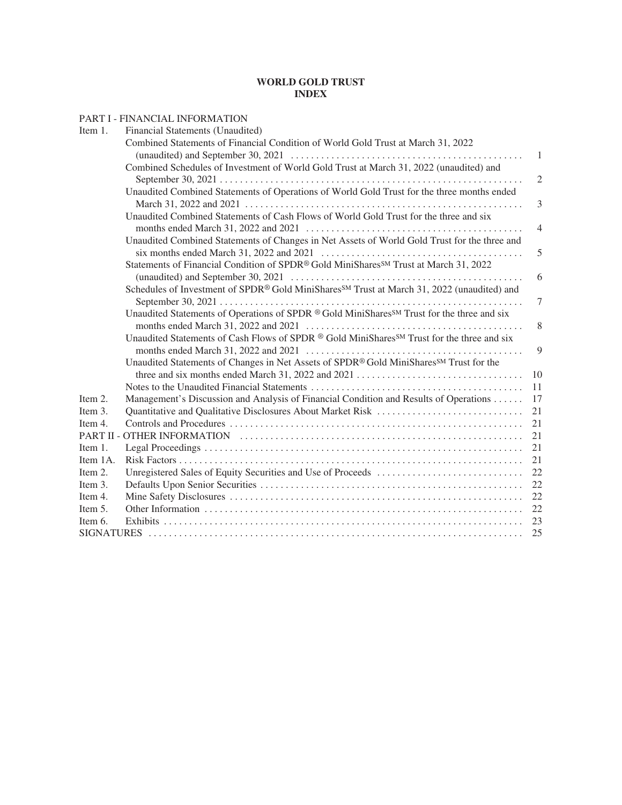# **WORLD GOLD TRUST INDEX**

|          | PART I - FINANCIAL INFORMATION                                                                         |                |
|----------|--------------------------------------------------------------------------------------------------------|----------------|
| Item 1.  | Financial Statements (Unaudited)                                                                       |                |
|          | Combined Statements of Financial Condition of World Gold Trust at March 31, 2022                       |                |
|          |                                                                                                        | -1             |
|          | Combined Schedules of Investment of World Gold Trust at March 31, 2022 (unaudited) and                 |                |
|          |                                                                                                        | 2              |
|          | Unaudited Combined Statements of Operations of World Gold Trust for the three months ended             |                |
|          |                                                                                                        | 3              |
|          | Unaudited Combined Statements of Cash Flows of World Gold Trust for the three and six                  |                |
|          |                                                                                                        | $\overline{4}$ |
|          | Unaudited Combined Statements of Changes in Net Assets of World Gold Trust for the three and           |                |
|          |                                                                                                        | 5              |
|          | Statements of Financial Condition of SPDR® Gold MiniShares <sup>SM</sup> Trust at March 31, 2022       |                |
|          |                                                                                                        | 6              |
|          | Schedules of Investment of SPDR® Gold MiniShares <sup>SM</sup> Trust at March 31, 2022 (unaudited) and |                |
|          |                                                                                                        | 7              |
|          | Unaudited Statements of Operations of SPDR ® Gold MiniShares <sup>SM</sup> Trust for the three and six |                |
|          |                                                                                                        | 8              |
|          | Unaudited Statements of Cash Flows of SPDR ® Gold MiniShares <sup>SM</sup> Trust for the three and six |                |
|          |                                                                                                        | 9              |
|          | Unaudited Statements of Changes in Net Assets of SPDR® Gold MiniShares <sup>SM</sup> Trust for the     |                |
|          |                                                                                                        | 10             |
|          |                                                                                                        | 11             |
| Item 2.  | Management's Discussion and Analysis of Financial Condition and Results of Operations                  | 17             |
| Item 3.  |                                                                                                        | 21             |
| Item 4.  |                                                                                                        | 21             |
|          |                                                                                                        | 21             |
| Item 1.  |                                                                                                        | 21             |
| Item 1A. |                                                                                                        | 21             |
| Item 2.  |                                                                                                        | 22             |
| Item 3.  |                                                                                                        | 22             |
| Item 4.  |                                                                                                        | 22             |
| Item 5.  |                                                                                                        | 22             |
| Item 6.  |                                                                                                        |                |
|          |                                                                                                        | 25             |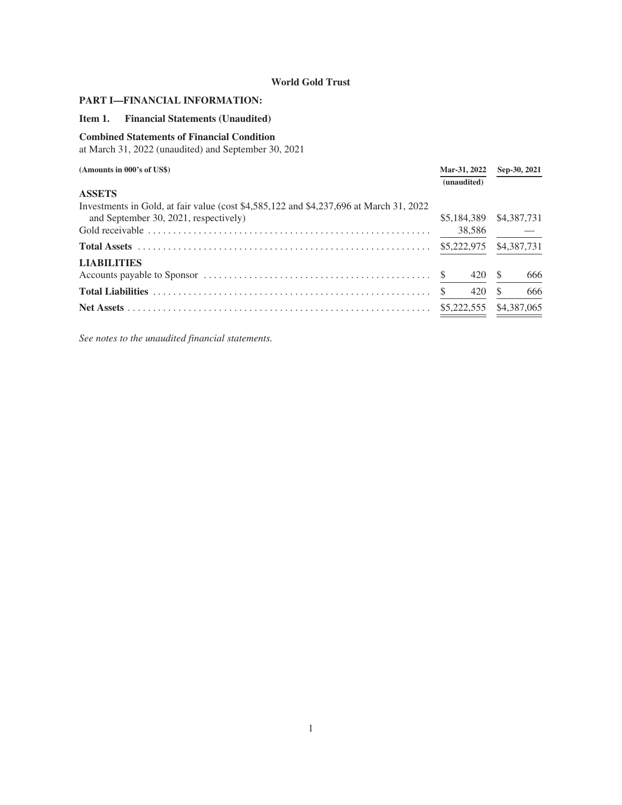# <span id="page-2-1"></span><span id="page-2-0"></span>**PART I—FINANCIAL INFORMATION:**

# **Item 1. Financial Statements (Unaudited)**

# <span id="page-2-2"></span>**Combined Statements of Financial Condition**

at March 31, 2022 (unaudited) and September 30, 2021

| (Amounts in 000's of US\$)                                                              |    | Mar-31, 2022<br>(unaudited) |    | Sep-30, 2021 |
|-----------------------------------------------------------------------------------------|----|-----------------------------|----|--------------|
| <b>ASSETS</b>                                                                           |    |                             |    |              |
| Investments in Gold, at fair value (cost \$4,585,122 and \$4,237,696 at March 31, 2022) |    |                             |    |              |
| and September 30, 2021, respectively)                                                   |    | \$5,184,389 \$4,387,731     |    |              |
|                                                                                         |    | 38,586                      |    |              |
|                                                                                         |    |                             |    | \$4,387,731  |
| <b>LIABILITIES</b>                                                                      |    |                             |    |              |
|                                                                                         |    | 420 \$                      |    | 666          |
|                                                                                         | -S | 420                         | -S | 666          |
|                                                                                         |    |                             |    | \$4,387,065  |
|                                                                                         |    |                             |    |              |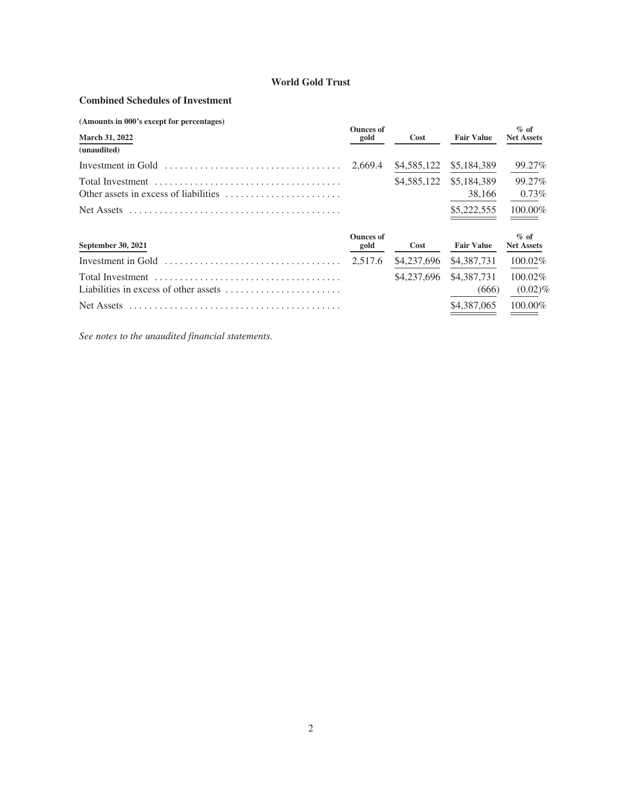# <span id="page-3-0"></span>**Combined Schedules of Investment**

| (Amounts in 000's except for percentages)                                              | <b>Ounces of</b>         |             |                   | $\%$ of                      |
|----------------------------------------------------------------------------------------|--------------------------|-------------|-------------------|------------------------------|
| <b>March 31, 2022</b>                                                                  | gold                     | Cost        | <b>Fair Value</b> | <b>Net Assets</b>            |
| (unaudited)                                                                            |                          |             |                   |                              |
| Investment in Gold $\dots \dots \dots \dots \dots \dots \dots \dots \dots \dots \dots$ | 2,669.4                  | \$4,585,122 | \$5,184,389       | 99.27%                       |
|                                                                                        |                          | \$4,585,122 | \$5,184,389       | 99.27%                       |
|                                                                                        |                          |             | 38,166            | $0.73\%$                     |
| Net Assets                                                                             |                          |             | \$5,222,555       | 100.00%                      |
| September 30, 2021                                                                     | <b>Ounces of</b><br>gold | Cost        | <b>Fair Value</b> | $\%$ of<br><b>Net Assets</b> |
| Investment in Gold                                                                     | 2,517.6                  | \$4,237,696 | \$4,387,731       | 100.02%                      |
|                                                                                        |                          | \$4,237,696 | \$4,387,731       | $100.02\%$                   |
| Liabilities in excess of other assets $\dots \dots \dots \dots \dots \dots \dots$      |                          |             | (666)             | $(0.02)\%$                   |
| Net Assets                                                                             |                          |             | \$4,387,065       | 100.00%                      |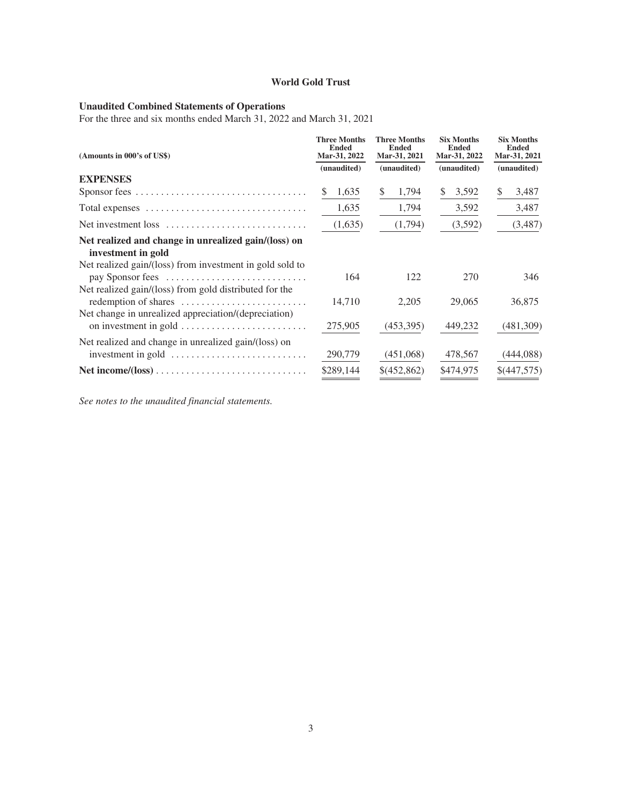#### <span id="page-4-0"></span>**Unaudited Combined Statements of Operations**

For the three and six months ended March 31, 2022 and March 31, 2021

| (Amounts in 000's of US\$)                                                                                                   | <b>Three Months</b><br><b>Ended</b><br>Mar-31, 2022 | <b>Three Months</b><br><b>Ended</b><br>Mar-31, 2021 | <b>Six Months</b><br><b>Ended</b><br>Mar-31, 2022 | <b>Six Months</b><br><b>Ended</b><br>Mar-31, 2021 |
|------------------------------------------------------------------------------------------------------------------------------|-----------------------------------------------------|-----------------------------------------------------|---------------------------------------------------|---------------------------------------------------|
|                                                                                                                              | (unaudited)                                         | (unaudited)                                         | (unaudited)                                       | (unaudited)                                       |
| <b>EXPENSES</b>                                                                                                              |                                                     |                                                     |                                                   |                                                   |
|                                                                                                                              | 1,635                                               | 1,794<br>\$                                         | 3,592<br>\$                                       | \$<br>3,487                                       |
|                                                                                                                              | 1,635                                               | 1,794                                               | 3,592                                             | 3,487                                             |
| Net investment loss                                                                                                          | (1,635)                                             | (1,794)                                             | (3,592)                                           | (3,487)                                           |
| Net realized and change in unrealized gain/(loss) on<br>investment in gold                                                   |                                                     |                                                     |                                                   |                                                   |
| Net realized gain/(loss) from investment in gold sold to<br>pay Sponsor fees                                                 | 164                                                 | 122                                                 | 270                                               | 346                                               |
| Net realized gain/(loss) from gold distributed for the<br>redemption of shares                                               | 14,710                                              | 2,205                                               | 29,065                                            | 36,875                                            |
| Net change in unrealized appreciation/(depreciation)                                                                         | 275,905                                             | (453,395)                                           | 449,232                                           | (481,309)                                         |
| Net realized and change in unrealized gain/(loss) on<br>investment in gold $\dots \dots \dots \dots \dots \dots \dots \dots$ | 290,779                                             | (451,068)                                           | 478,567                                           | (444,088)                                         |
|                                                                                                                              | \$289,144                                           | \$(452,862)                                         | \$474,975                                         | \$(447,575)                                       |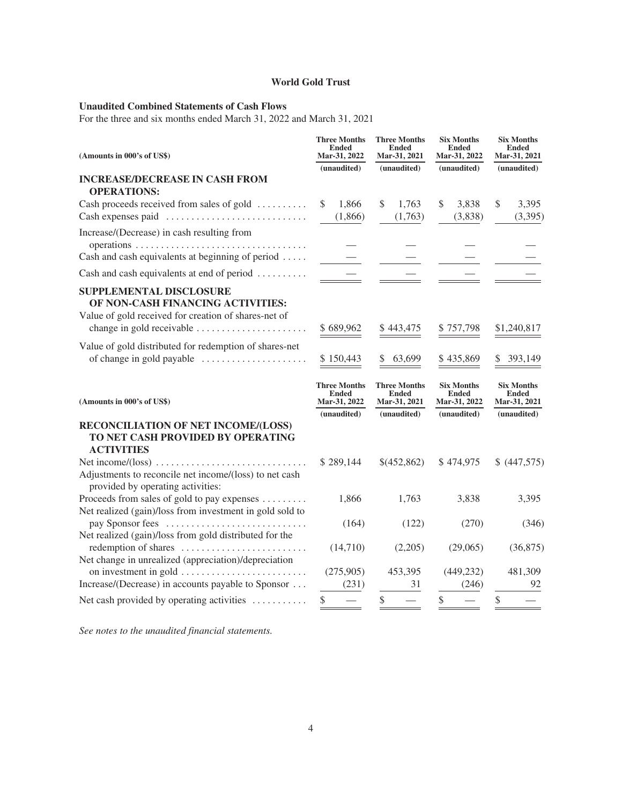# <span id="page-5-0"></span>**Unaudited Combined Statements of Cash Flows**

For the three and six months ended March 31, 2022 and March 31, 2021

| (Amounts in 000's of US\$)                                                                                                                               | <b>Three Months</b><br><b>Ended</b><br>Mar-31, 2022<br>(unaudited) | <b>Three Months</b><br><b>Ended</b><br>Mar-31, 2021<br>(unaudited) | <b>Six Months</b><br><b>Ended</b><br><b>Mar-31, 2022</b><br>(unaudited) | <b>Six Months</b><br><b>Ended</b><br>Mar-31, 2021<br>(unaudited) |
|----------------------------------------------------------------------------------------------------------------------------------------------------------|--------------------------------------------------------------------|--------------------------------------------------------------------|-------------------------------------------------------------------------|------------------------------------------------------------------|
| <b>INCREASE/DECREASE IN CASH FROM</b><br><b>OPERATIONS:</b>                                                                                              |                                                                    |                                                                    |                                                                         |                                                                  |
| Cash proceeds received from sales of gold<br>Cash expenses paid                                                                                          | 1,866<br>\$<br>(1,866)                                             | \$<br>1,763<br>(1,763)                                             | \$<br>3,838<br>(3,838)                                                  | \$<br>3,395<br>(3,395)                                           |
| Increase/(Decrease) in cash resulting from<br>Cash and cash equivalents at beginning of period                                                           |                                                                    |                                                                    |                                                                         |                                                                  |
| Cash and cash equivalents at end of period                                                                                                               |                                                                    |                                                                    |                                                                         |                                                                  |
| <b>SUPPLEMENTAL DISCLOSURE</b><br>OF NON-CASH FINANCING ACTIVITIES:<br>Value of gold received for creation of shares-net of<br>change in gold receivable | \$689,962                                                          | \$443,475                                                          | \$757,798                                                               | \$1,240,817                                                      |
| Value of gold distributed for redemption of shares-net<br>of change in gold payable                                                                      | \$150,443                                                          | 63,699                                                             | \$435,869                                                               | 393,149                                                          |
| (Amounts in 000's of US\$)                                                                                                                               | <b>Three Months</b><br><b>Ended</b><br>Mar-31, 2022                | <b>Three Months</b><br><b>Ended</b><br>Mar-31, 2021                | <b>Six Months</b><br><b>Ended</b><br>Mar-31, 2022                       | <b>Six Months</b><br><b>Ended</b><br>Mar-31, 2021                |
| RECONCILIATION OF NET INCOME/(LOSS)<br>TO NET CASH PROVIDED BY OPERATING<br><b>ACTIVITIES</b>                                                            | (unaudited)                                                        | (unaudited)                                                        | (unaudited)                                                             | (unaudited)                                                      |
| Adjustments to reconcile net income/(loss) to net cash<br>provided by operating activities:                                                              | \$289,144                                                          | \$(452,862)                                                        | \$474,975                                                               | \$ (447,575)                                                     |
| Proceeds from sales of gold to pay expenses<br>Net realized (gain)/loss from investment in gold sold to                                                  | 1,866                                                              | 1,763                                                              | 3,838                                                                   | 3,395                                                            |
| pay Sponsor fees<br>Net realized (gain)/loss from gold distributed for the                                                                               | (164)                                                              | (122)                                                              | (270)                                                                   | (346)                                                            |
| redemption of shares<br>Net change in unrealized (appreciation)/depreciation                                                                             | (14,710)                                                           | (2,205)                                                            | (29,065)                                                                | (36,875)                                                         |
| Increase/(Decrease) in accounts payable to Sponsor                                                                                                       | (275,905)<br>(231)                                                 | 453,395<br>31                                                      | (449, 232)<br>(246)                                                     | 481,309<br>92                                                    |
| Net cash provided by operating activities                                                                                                                | \$                                                                 |                                                                    |                                                                         |                                                                  |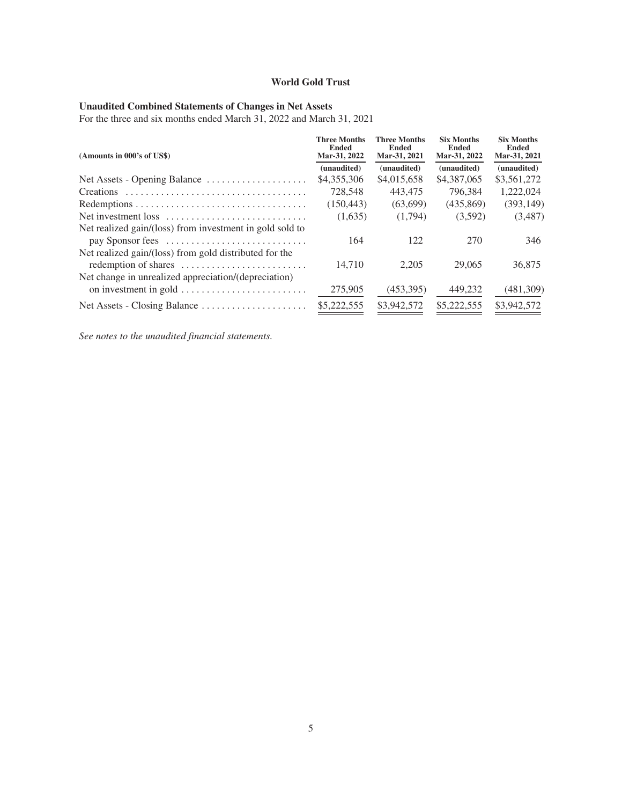#### <span id="page-6-0"></span>**Unaudited Combined Statements of Changes in Net Assets**

For the three and six months ended March 31, 2022 and March 31, 2021

| (Amounts in 000's of US\$)                                                     | <b>Three Months</b><br><b>Ended</b><br>Mar-31, 2022 | <b>Three Months</b><br>Ended<br>Mar-31, 2021 | <b>Six Months</b><br><b>Ended</b><br>Mar-31, 2022 | <b>Six Months</b><br><b>Ended</b><br>Mar-31, 2021 |
|--------------------------------------------------------------------------------|-----------------------------------------------------|----------------------------------------------|---------------------------------------------------|---------------------------------------------------|
|                                                                                | (unaudited)                                         | (unaudited)                                  | (unaudited)                                       | (unaudited)                                       |
| Net Assets - Opening Balance                                                   | \$4,355,306                                         | \$4,015,658                                  | \$4,387,065                                       | \$3,561,272                                       |
|                                                                                | 728.548                                             | 443,475                                      | 796.384                                           | 1,222,024                                         |
|                                                                                | (150, 443)                                          | (63.699)                                     | (435.869)                                         | (393, 149)                                        |
| Net investment loss                                                            | (1,635)                                             | (1,794)                                      | (3,592)                                           | (3,487)                                           |
| Net realized gain/(loss) from investment in gold sold to<br>pay Sponsor fees   | 164                                                 | 122                                          | 270                                               | 346                                               |
| Net realized gain/(loss) from gold distributed for the<br>redemption of shares | 14,710                                              | 2,205                                        | 29,065                                            | 36,875                                            |
| Net change in unrealized appreciation/(depreciation)<br>on investment in gold  | 275,905                                             | (453,395)                                    | 449,232                                           | (481,309)                                         |
|                                                                                | \$5,222,555                                         | \$3,942,572                                  | \$5,222,555                                       | \$3,942,572                                       |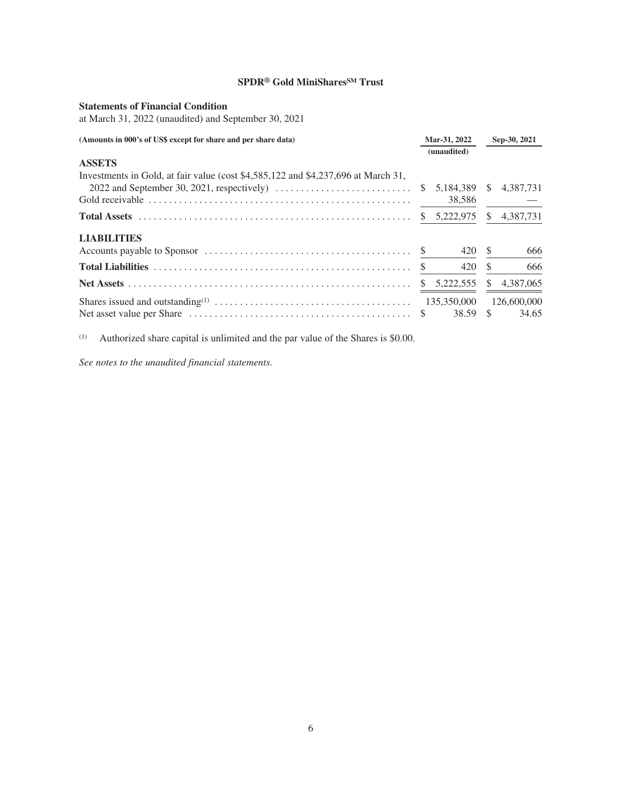# <span id="page-7-0"></span>**Statements of Financial Condition**

at March 31, 2022 (unaudited) and September 30, 2021

| (Amounts in 000's of US\$ except for share and per share data)                    |               | Mar-31, 2022 |      | Sep-30, 2021 |  |
|-----------------------------------------------------------------------------------|---------------|--------------|------|--------------|--|
|                                                                                   |               | (unaudited)  |      |              |  |
| <b>ASSETS</b>                                                                     |               |              |      |              |  |
| Investments in Gold, at fair value (cost \$4,585,122 and \$4,237,696 at March 31, |               |              |      |              |  |
|                                                                                   | <sup>S</sup>  | 5,184,389 \$ |      | 4,387,731    |  |
|                                                                                   |               | 38,586       |      |              |  |
|                                                                                   |               | \$5,222,975  | S.   | 4,387,731    |  |
| <b>LIABILITIES</b>                                                                |               |              |      |              |  |
|                                                                                   |               | 420          | - \$ | 666          |  |
|                                                                                   | $\mathbb{S}$  | 420          | \$   | 666          |  |
|                                                                                   | <sup>\$</sup> | 5,222,555    | S.   | 4,387,065    |  |
|                                                                                   |               | 135,350,000  |      | 126,600,000  |  |
|                                                                                   |               | 38.59 \$     |      | 34.65        |  |

(1) Authorized share capital is unlimited and the par value of the Shares is \$0.00.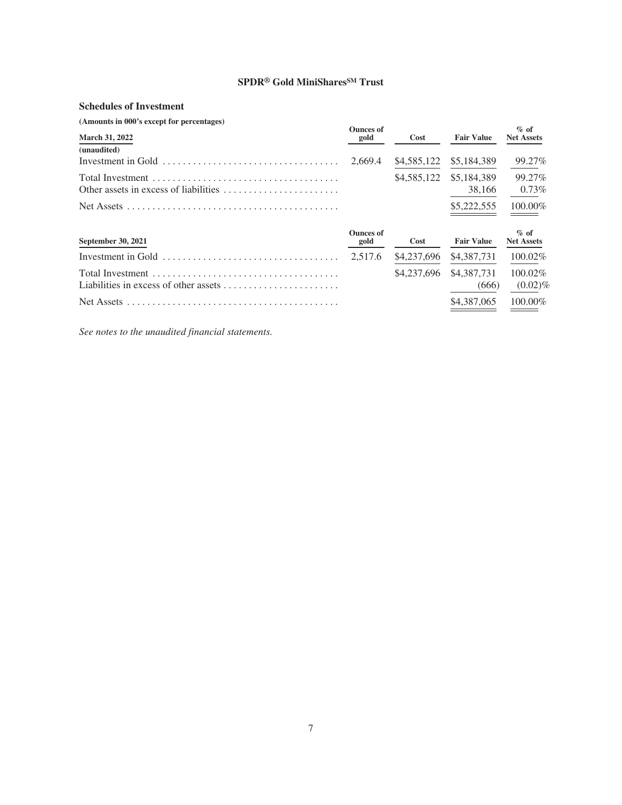# <span id="page-8-0"></span>**Schedules of Investment**

| (Amounts in 000's except for percentages) |                          |      |                         |                              |
|-------------------------------------------|--------------------------|------|-------------------------|------------------------------|
| <b>March 31, 2022</b>                     | <b>Ounces of</b><br>gold | Cost | <b>Fair Value</b>       | $\%$ of<br><b>Net Assets</b> |
| (unaudited)                               |                          |      |                         |                              |
|                                           |                          |      | \$4,585,122 \$5,184,389 | 99.27%                       |
|                                           |                          |      | \$4,585,122 \$5,184,389 | 99.27%                       |
| Other assets in excess of liabilities     |                          |      | 38,166                  | $0.73\%$                     |
|                                           |                          |      | \$5,222,555             | 100.00%                      |

| September 30, 2021                                        | <b>Ounces of</b><br>gold | Cost | <b>Fair Value</b>                             | $\%$ of<br><b>Net Assets</b> |
|-----------------------------------------------------------|--------------------------|------|-----------------------------------------------|------------------------------|
|                                                           |                          |      |                                               |                              |
| Liabilities in excess of other assets $\ldots$ , $\ldots$ |                          |      | $$4,237.696$ $$4,387.731$ $100.02\%$<br>(666) | $(0.02)\%$                   |
|                                                           |                          |      | $$4.387.065$ 100.00%                          |                              |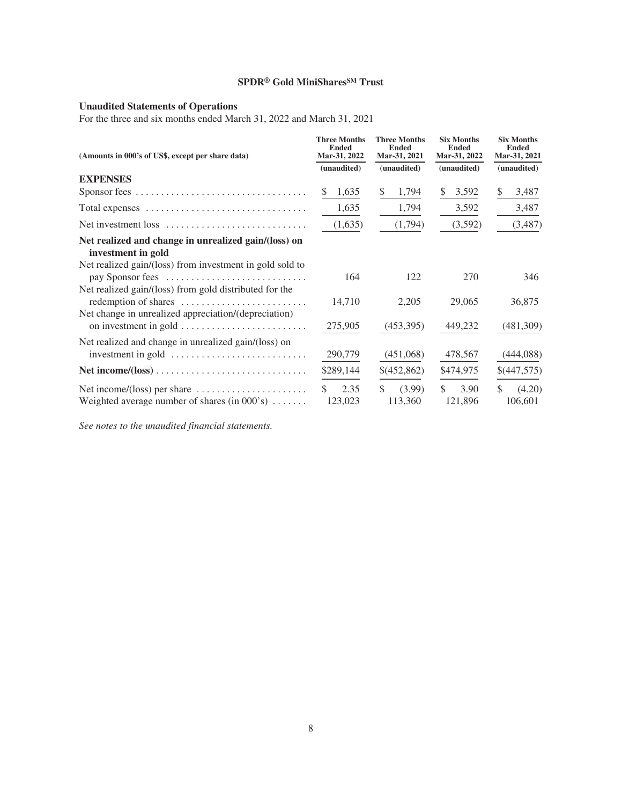#### <span id="page-9-0"></span>**Unaudited Statements of Operations**

For the three and six months ended March 31, 2022 and March 31, 2021

| (Amounts in 000's of US\$, except per share data)                                                                    | <b>Three Months</b><br><b>Ended</b><br>Mar-31, 2022 | <b>Three Months</b><br><b>Ended</b><br>Mar-31, 2021 | <b>Six Months</b><br><b>Ended</b><br>Mar-31, 2022 | <b>Six Months</b><br><b>Ended</b><br>Mar-31, 2021 |
|----------------------------------------------------------------------------------------------------------------------|-----------------------------------------------------|-----------------------------------------------------|---------------------------------------------------|---------------------------------------------------|
|                                                                                                                      | (unaudited)                                         | (unaudited)                                         | (unaudited)                                       | (unaudited)                                       |
| <b>EXPENSES</b>                                                                                                      |                                                     |                                                     |                                                   |                                                   |
|                                                                                                                      | 1,635<br>S                                          | 1,794<br>S                                          | \$<br>3,592                                       | \$<br>3,487                                       |
| Total expenses                                                                                                       | 1,635                                               | 1,794                                               | 3,592                                             | 3,487                                             |
| Net investment loss                                                                                                  | (1,635)                                             | (1,794)                                             | (3,592)                                           | (3, 487)                                          |
| Net realized and change in unrealized gain/(loss) on<br>investment in gold                                           |                                                     |                                                     |                                                   |                                                   |
| Net realized gain/(loss) from investment in gold sold to<br>pay Sponsor fees                                         | 164                                                 | 122                                                 | 270                                               | 346                                               |
| Net realized gain/(loss) from gold distributed for the<br>redemption of shares                                       | 14,710                                              | 2,205                                               | 29,065                                            | 36,875                                            |
| Net change in unrealized appreciation/(depreciation)<br>on investment in gold                                        | 275,905                                             | (453,395)                                           | 449,232                                           | (481,309)                                         |
| Net realized and change in unrealized gain/(loss) on<br>investment in gold                                           | 290,779                                             | (451,068)                                           | 478,567                                           | (444, 088)                                        |
|                                                                                                                      | \$289,144                                           | \$(452,862)                                         | \$474,975                                         | \$(447,575)                                       |
| Net income/(loss) per share $\dots \dots \dots \dots \dots \dots$<br>Weighted average number of shares (in $000$ 's) | $\mathcal{S}$<br>2.35<br>123,023                    | (3.99)<br>S.<br>113,360                             | \$<br>3.90<br>121,896                             | $\mathcal{S}$<br>(4.20)<br>106,601                |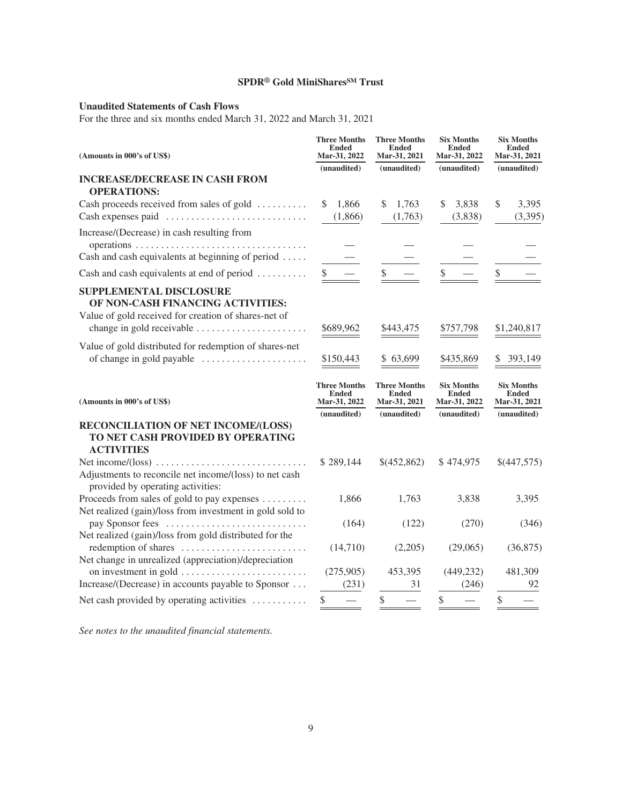# <span id="page-10-0"></span>**Unaudited Statements of Cash Flows**

For the three and six months ended March 31, 2022 and March 31, 2021

| (Amounts in 000's of US\$)                                                                                                                               | <b>Three Months</b><br><b>Ended</b><br>Mar-31, 2022<br>(unaudited) | <b>Three Months</b><br><b>Ended</b><br>Mar-31, 2021<br>(unaudited) | <b>Six Months</b><br><b>Ended</b><br>Mar-31, 2022<br>(unaudited) | <b>Six Months</b><br><b>Ended</b><br>Mar-31, 2021<br>(unaudited) |
|----------------------------------------------------------------------------------------------------------------------------------------------------------|--------------------------------------------------------------------|--------------------------------------------------------------------|------------------------------------------------------------------|------------------------------------------------------------------|
| <b>INCREASE/DECREASE IN CASH FROM</b><br><b>OPERATIONS:</b>                                                                                              |                                                                    |                                                                    |                                                                  |                                                                  |
| Cash proceeds received from sales of gold<br>Cash expenses paid                                                                                          | 1,866<br>(1,866)                                                   | \$<br>1,763<br>(1,763)                                             | 3,838<br>\$.<br>(3,838)                                          | 3,395<br>\$<br>(3,395)                                           |
| Increase/(Decrease) in cash resulting from                                                                                                               |                                                                    |                                                                    |                                                                  |                                                                  |
| Cash and cash equivalents at beginning of period $\dots$                                                                                                 |                                                                    |                                                                    |                                                                  |                                                                  |
| Cash and cash equivalents at end of period                                                                                                               |                                                                    | \$                                                                 |                                                                  | \$                                                               |
| <b>SUPPLEMENTAL DISCLOSURE</b><br>OF NON-CASH FINANCING ACTIVITIES:<br>Value of gold received for creation of shares-net of<br>change in gold receivable | \$689,962                                                          | \$443,475                                                          | \$757,798                                                        | \$1,240,817                                                      |
| Value of gold distributed for redemption of shares-net<br>of change in gold payable                                                                      | \$150,443                                                          | \$63,699                                                           | \$435,869                                                        | 393,149                                                          |
| (Amounts in 000's of US\$)                                                                                                                               | <b>Three Months</b><br><b>Ended</b><br>Mar-31, 2022                | <b>Three Months</b><br><b>Ended</b><br>Mar-31, 2021                | <b>Six Months</b><br><b>Ended</b><br>Mar-31, 2022                | <b>Six Months</b><br><b>Ended</b><br>Mar-31, 2021                |
|                                                                                                                                                          | (unaudited)                                                        | (unaudited)                                                        | (unaudited)                                                      | (unaudited)                                                      |
| RECONCILIATION OF NET INCOME/(LOSS)<br>TO NET CASH PROVIDED BY OPERATING<br><b>ACTIVITIES</b>                                                            |                                                                    |                                                                    |                                                                  |                                                                  |
| Adjustments to reconcile net income/(loss) to net cash<br>provided by operating activities:                                                              | \$289,144                                                          | \$(452,862)                                                        | \$474,975                                                        | \$(447,575)                                                      |
| Proceeds from sales of gold to pay expenses<br>Net realized (gain)/loss from investment in gold sold to                                                  | 1,866                                                              | 1,763                                                              | 3,838                                                            | 3,395                                                            |
| pay Sponsor fees<br>Net realized (gain)/loss from gold distributed for the                                                                               | (164)                                                              | (122)                                                              | (270)                                                            | (346)                                                            |
| redemption of shares<br>Net change in unrealized (appreciation)/depreciation                                                                             | (14,710)                                                           | (2,205)                                                            | (29,065)                                                         | (36,875)                                                         |
| on investment in gold                                                                                                                                    | (275,905)                                                          | 453,395                                                            | (449, 232)                                                       | 481,309                                                          |
| Increase/(Decrease) in accounts payable to Sponsor                                                                                                       |                                                                    |                                                                    |                                                                  |                                                                  |
| Net cash provided by operating activities $\dots\dots\dots\dots$                                                                                         | (231)<br>\$                                                        | 31                                                                 | (246)<br>\$                                                      | 92<br>\$                                                         |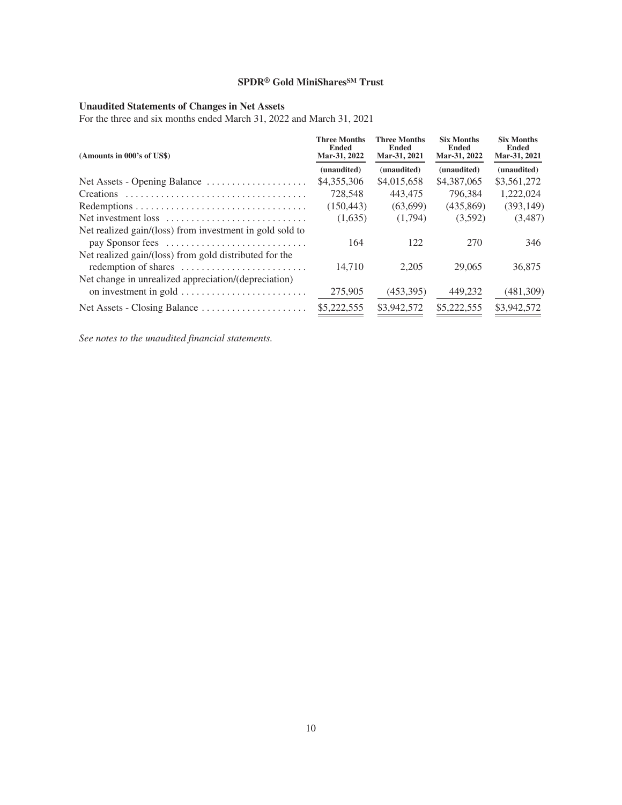# <span id="page-11-0"></span>**Unaudited Statements of Changes in Net Assets**

For the three and six months ended March 31, 2022 and March 31, 2021

| (Amounts in 000's of US\$)                                                                                                      | <b>Three Months</b><br><b>Ended</b><br>Mar-31, 2022 | <b>Three Months</b><br><b>Ended</b><br>Mar-31, 2021 | <b>Six Months</b><br><b>Ended</b><br>Mar-31, 2022 | <b>Six Months</b><br><b>Ended</b><br>Mar-31, 2021 |
|---------------------------------------------------------------------------------------------------------------------------------|-----------------------------------------------------|-----------------------------------------------------|---------------------------------------------------|---------------------------------------------------|
|                                                                                                                                 | (unaudited)                                         | (unaudited)                                         | (unaudited)                                       | (unaudited)                                       |
| Net Assets - Opening Balance                                                                                                    | \$4,355,306                                         | \$4,015,658                                         | \$4,387,065                                       | \$3,561,272                                       |
|                                                                                                                                 | 728,548                                             | 443,475                                             | 796.384                                           | 1,222,024                                         |
|                                                                                                                                 | (150, 443)                                          | (63,699)                                            | (435.869)                                         | (393, 149)                                        |
| Net investment loss                                                                                                             | (1,635)                                             | (1,794)                                             | (3,592)                                           | (3,487)                                           |
| Net realized gain/(loss) from investment in gold sold to<br>pay Sponsor fees                                                    | 164                                                 | 122                                                 | 270                                               | 346                                               |
| Net realized gain/(loss) from gold distributed for the<br>redemption of shares                                                  | 14.710                                              | 2.205                                               | 29,065                                            | 36,875                                            |
| Net change in unrealized appreciation/(depreciation)<br>on investment in gold $\dots \dots \dots \dots \dots \dots \dots \dots$ | 275,905                                             | (453,395)                                           | 449,232                                           | (481,309)                                         |
|                                                                                                                                 | \$5,222,555                                         | \$3,942,572                                         | \$5,222,555                                       | \$3,942,572                                       |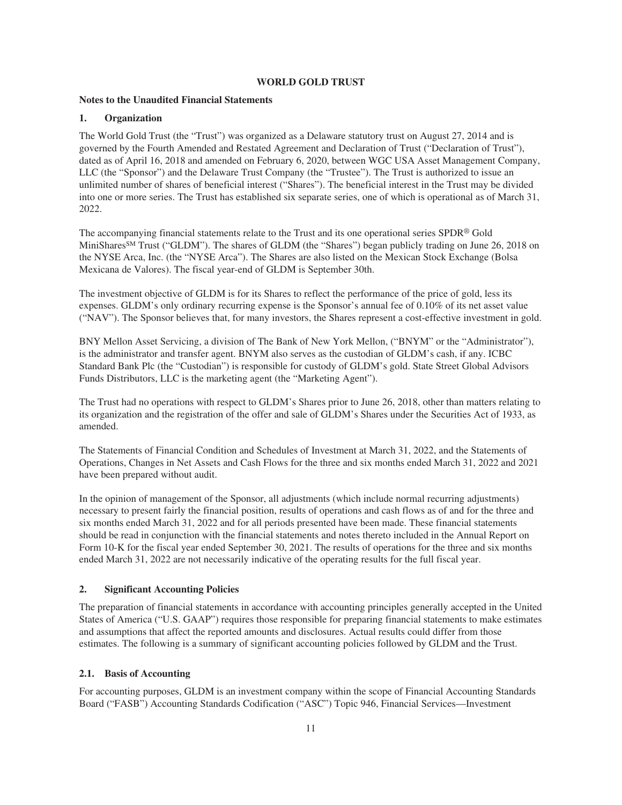# **WORLD GOLD TRUST**

# <span id="page-12-0"></span>**Notes to the Unaudited Financial Statements**

# **1. Organization**

The World Gold Trust (the "Trust") was organized as a Delaware statutory trust on August 27, 2014 and is governed by the Fourth Amended and Restated Agreement and Declaration of Trust ("Declaration of Trust"), dated as of April 16, 2018 and amended on February 6, 2020, between WGC USA Asset Management Company, LLC (the "Sponsor") and the Delaware Trust Company (the "Trustee"). The Trust is authorized to issue an unlimited number of shares of beneficial interest ("Shares"). The beneficial interest in the Trust may be divided into one or more series. The Trust has established six separate series, one of which is operational as of March 31, 2022.

The accompanying financial statements relate to the Trust and its one operational series SPDR® Gold MiniSharesSM Trust ("GLDM"). The shares of GLDM (the "Shares") began publicly trading on June 26, 2018 on the NYSE Arca, Inc. (the "NYSE Arca"). The Shares are also listed on the Mexican Stock Exchange (Bolsa Mexicana de Valores). The fiscal year-end of GLDM is September 30th.

The investment objective of GLDM is for its Shares to reflect the performance of the price of gold, less its expenses. GLDM's only ordinary recurring expense is the Sponsor's annual fee of 0.10% of its net asset value ("NAV"). The Sponsor believes that, for many investors, the Shares represent a cost-effective investment in gold.

BNY Mellon Asset Servicing, a division of The Bank of New York Mellon, ("BNYM" or the "Administrator"), is the administrator and transfer agent. BNYM also serves as the custodian of GLDM's cash, if any. ICBC Standard Bank Plc (the "Custodian") is responsible for custody of GLDM's gold. State Street Global Advisors Funds Distributors, LLC is the marketing agent (the "Marketing Agent").

The Trust had no operations with respect to GLDM's Shares prior to June 26, 2018, other than matters relating to its organization and the registration of the offer and sale of GLDM's Shares under the Securities Act of 1933, as amended.

The Statements of Financial Condition and Schedules of Investment at March 31, 2022, and the Statements of Operations, Changes in Net Assets and Cash Flows for the three and six months ended March 31, 2022 and 2021 have been prepared without audit.

In the opinion of management of the Sponsor, all adjustments (which include normal recurring adjustments) necessary to present fairly the financial position, results of operations and cash flows as of and for the three and six months ended March 31, 2022 and for all periods presented have been made. These financial statements should be read in conjunction with the financial statements and notes thereto included in the Annual Report on Form 10-K for the fiscal year ended September 30, 2021. The results of operations for the three and six months ended March 31, 2022 are not necessarily indicative of the operating results for the full fiscal year.

# **2. Significant Accounting Policies**

The preparation of financial statements in accordance with accounting principles generally accepted in the United States of America ("U.S. GAAP") requires those responsible for preparing financial statements to make estimates and assumptions that affect the reported amounts and disclosures. Actual results could differ from those estimates. The following is a summary of significant accounting policies followed by GLDM and the Trust.

# **2.1. Basis of Accounting**

For accounting purposes, GLDM is an investment company within the scope of Financial Accounting Standards Board ("FASB") Accounting Standards Codification ("ASC") Topic 946, Financial Services—Investment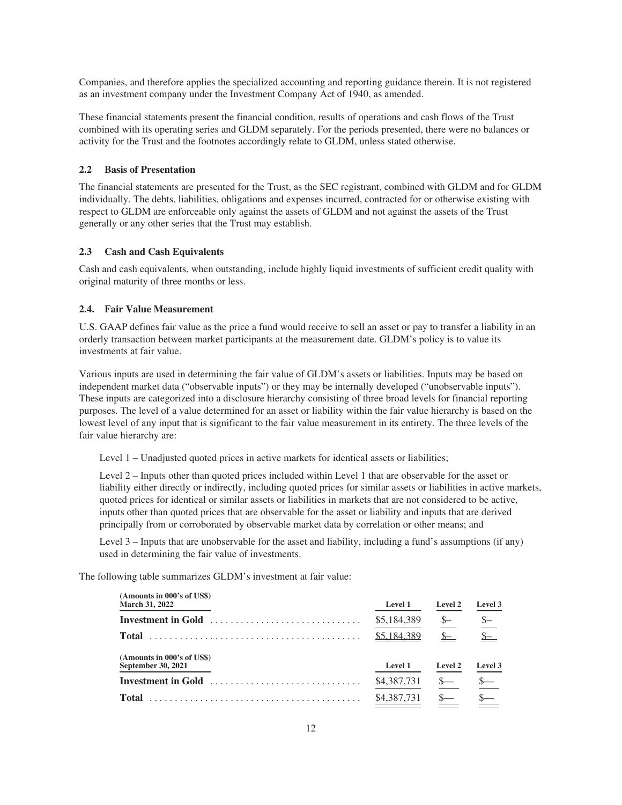Companies, and therefore applies the specialized accounting and reporting guidance therein. It is not registered as an investment company under the Investment Company Act of 1940, as amended.

These financial statements present the financial condition, results of operations and cash flows of the Trust combined with its operating series and GLDM separately. For the periods presented, there were no balances or activity for the Trust and the footnotes accordingly relate to GLDM, unless stated otherwise.

#### **2.2 Basis of Presentation**

The financial statements are presented for the Trust, as the SEC registrant, combined with GLDM and for GLDM individually. The debts, liabilities, obligations and expenses incurred, contracted for or otherwise existing with respect to GLDM are enforceable only against the assets of GLDM and not against the assets of the Trust generally or any other series that the Trust may establish.

#### **2.3 Cash and Cash Equivalents**

Cash and cash equivalents, when outstanding, include highly liquid investments of sufficient credit quality with original maturity of three months or less.

#### **2.4. Fair Value Measurement**

U.S. GAAP defines fair value as the price a fund would receive to sell an asset or pay to transfer a liability in an orderly transaction between market participants at the measurement date. GLDM's policy is to value its investments at fair value.

Various inputs are used in determining the fair value of GLDM's assets or liabilities. Inputs may be based on independent market data ("observable inputs") or they may be internally developed ("unobservable inputs"). These inputs are categorized into a disclosure hierarchy consisting of three broad levels for financial reporting purposes. The level of a value determined for an asset or liability within the fair value hierarchy is based on the lowest level of any input that is significant to the fair value measurement in its entirety. The three levels of the fair value hierarchy are:

Level 1 – Unadjusted quoted prices in active markets for identical assets or liabilities;

Level 2 – Inputs other than quoted prices included within Level 1 that are observable for the asset or liability either directly or indirectly, including quoted prices for similar assets or liabilities in active markets, quoted prices for identical or similar assets or liabilities in markets that are not considered to be active, inputs other than quoted prices that are observable for the asset or liability and inputs that are derived principally from or corroborated by observable market data by correlation or other means; and

Level 3 – Inputs that are unobservable for the asset and liability, including a fund's assumptions (if any) used in determining the fair value of investments.

The following table summarizes GLDM's investment at fair value:

| (Amounts in 000's of US\$)<br><b>March 31, 2022</b> | <b>Level 1</b> | <b>Level 2</b> | Level 3            |
|-----------------------------------------------------|----------------|----------------|--------------------|
| Investment in Gold                                  | \$5,184,389    | $S-$           | $\underline{\S}$ - |
| <b>Total</b>                                        | \$5.184.389    | $S-$           | $S-$               |
| (Amounts in 000's of US\$)<br>September 30, 2021    | <b>Level 1</b> | <b>Level 2</b> | Level 3            |
| Investment in Gold                                  | \$4,387,731    | $S-$           | $\frac{\S}{\S}$    |
| <b>Total</b>                                        | \$4,387,731    |                |                    |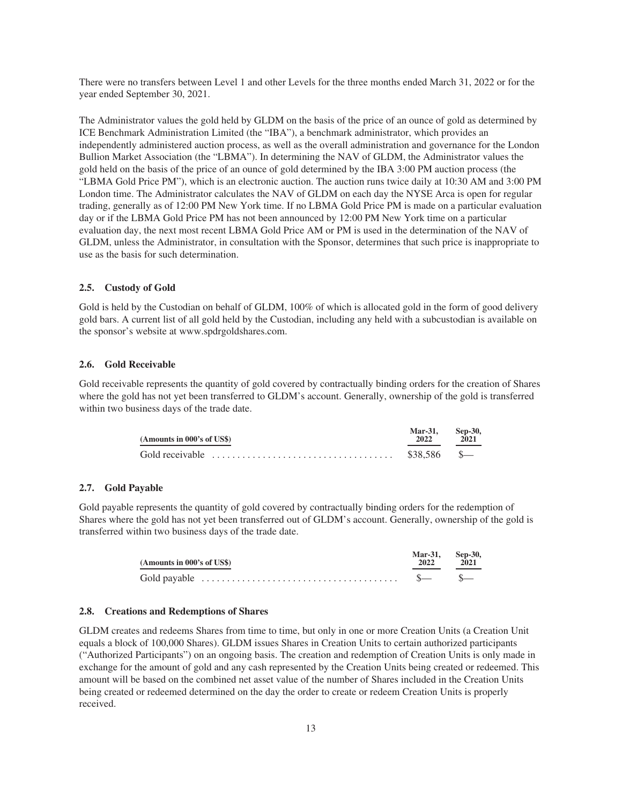There were no transfers between Level 1 and other Levels for the three months ended March 31, 2022 or for the year ended September 30, 2021.

The Administrator values the gold held by GLDM on the basis of the price of an ounce of gold as determined by ICE Benchmark Administration Limited (the "IBA"), a benchmark administrator, which provides an independently administered auction process, as well as the overall administration and governance for the London Bullion Market Association (the "LBMA"). In determining the NAV of GLDM, the Administrator values the gold held on the basis of the price of an ounce of gold determined by the IBA 3:00 PM auction process (the "LBMA Gold Price PM"), which is an electronic auction. The auction runs twice daily at 10:30 AM and 3:00 PM London time. The Administrator calculates the NAV of GLDM on each day the NYSE Arca is open for regular trading, generally as of 12:00 PM New York time. If no LBMA Gold Price PM is made on a particular evaluation day or if the LBMA Gold Price PM has not been announced by 12:00 PM New York time on a particular evaluation day, the next most recent LBMA Gold Price AM or PM is used in the determination of the NAV of GLDM, unless the Administrator, in consultation with the Sponsor, determines that such price is inappropriate to use as the basis for such determination.

#### **2.5. Custody of Gold**

Gold is held by the Custodian on behalf of GLDM,  $100\%$  of which is allocated gold in the form of good delivery gold bars. A current list of all gold held by the Custodian, including any held with a subcustodian is available on the sponsor's website at www.spdrgoldshares.com.

#### **2.6. Gold Receivable**

Gold receivable represents the quantity of gold covered by contractually binding orders for the creation of Shares where the gold has not yet been transferred to GLDM's account. Generally, ownership of the gold is transferred within two business days of the trade date.

| (Amounts in 000's of US\$)                                                                                       | <b>Mar-31.</b><br>2022 | Sep-30.<br>2021 |
|------------------------------------------------------------------------------------------------------------------|------------------------|-----------------|
| Gold receivable $\ldots$ , $\ldots$ , $\ldots$ , $\ldots$ , $\ldots$ , $\ldots$ , $\ldots$ , $\ldots$ , $\ldots$ | $$38.586$ \$           |                 |

#### **2.7. Gold Payable**

Gold payable represents the quantity of gold covered by contractually binding orders for the redemption of Shares where the gold has not yet been transferred out of GLDM's account. Generally, ownership of the gold is transferred within two business days of the trade date.

| (Amounts in 000's of US\$)                                                                  | Mar-31. Sep-30.<br>2022 | 2021 |
|---------------------------------------------------------------------------------------------|-------------------------|------|
| Gold payable $\ldots \ldots \ldots \ldots \ldots \ldots \ldots \ldots \ldots \ldots \ldots$ | $s - s - s$             |      |

#### **2.8. Creations and Redemptions of Shares**

GLDM creates and redeems Shares from time to time, but only in one or more Creation Units (a Creation Unit equals a block of 100,000 Shares). GLDM issues Shares in Creation Units to certain authorized participants ("Authorized Participants") on an ongoing basis. The creation and redemption of Creation Units is only made in exchange for the amount of gold and any cash represented by the Creation Units being created or redeemed. This amount will be based on the combined net asset value of the number of Shares included in the Creation Units being created or redeemed determined on the day the order to create or redeem Creation Units is properly received.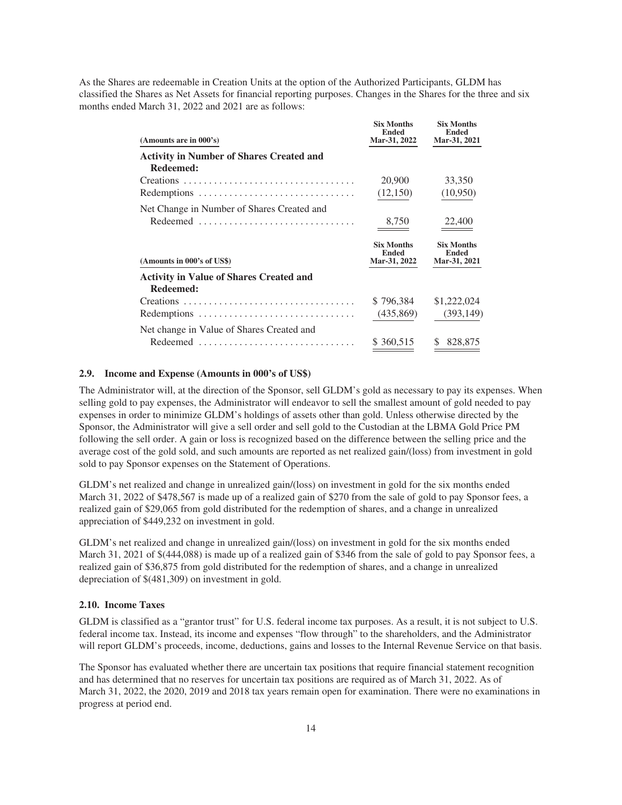As the Shares are redeemable in Creation Units at the option of the Authorized Participants, GLDM has classified the Shares as Net Assets for financial reporting purposes. Changes in the Shares for the three and six months ended March 31, 2022 and 2021 are as follows:

| (Amounts are in 000's)                          | <b>Six Months</b><br><b>Ended</b><br>Mar-31, 2022 | <b>Six Months</b><br><b>Ended</b><br>Mar-31, 2021 |
|-------------------------------------------------|---------------------------------------------------|---------------------------------------------------|
| <b>Activity in Number of Shares Created and</b> |                                                   |                                                   |
| Redeemed:                                       |                                                   |                                                   |
| Creations                                       | 20,900                                            | 33,350                                            |
|                                                 | (12,150)                                          | (10,950)                                          |
| Net Change in Number of Shares Created and      |                                                   |                                                   |
|                                                 | 8,750                                             | 22,400                                            |
|                                                 |                                                   |                                                   |
| (Amounts in 000's of US\$)                      | <b>Six Months</b><br><b>Ended</b><br>Mar-31, 2022 | <b>Six Months</b><br><b>Ended</b><br>Mar-31, 2021 |
| <b>Activity in Value of Shares Created and</b>  |                                                   |                                                   |
| Redeemed:                                       |                                                   |                                                   |
| Creations                                       | \$796,384                                         | \$1,222,024                                       |
| Redemptions                                     | (435, 869)                                        | (393, 149)                                        |
| Net change in Value of Shares Created and       |                                                   |                                                   |

# **2.9. Income and Expense (Amounts in 000's of US\$)**

The Administrator will, at the direction of the Sponsor, sell GLDM's gold as necessary to pay its expenses. When selling gold to pay expenses, the Administrator will endeavor to sell the smallest amount of gold needed to pay expenses in order to minimize GLDM's holdings of assets other than gold. Unless otherwise directed by the Sponsor, the Administrator will give a sell order and sell gold to the Custodian at the LBMA Gold Price PM following the sell order. A gain or loss is recognized based on the difference between the selling price and the average cost of the gold sold, and such amounts are reported as net realized gain/(loss) from investment in gold sold to pay Sponsor expenses on the Statement of Operations.

GLDM's net realized and change in unrealized gain/(loss) on investment in gold for the six months ended March 31, 2022 of \$478,567 is made up of a realized gain of \$270 from the sale of gold to pay Sponsor fees, a realized gain of \$29,065 from gold distributed for the redemption of shares, and a change in unrealized appreciation of \$449,232 on investment in gold.

GLDM's net realized and change in unrealized gain/(loss) on investment in gold for the six months ended March 31, 2021 of \$(444,088) is made up of a realized gain of \$346 from the sale of gold to pay Sponsor fees, a realized gain of \$36,875 from gold distributed for the redemption of shares, and a change in unrealized depreciation of \$(481,309) on investment in gold.

# **2.10. Income Taxes**

GLDM is classified as a "grantor trust" for U.S. federal income tax purposes. As a result, it is not subject to U.S. federal income tax. Instead, its income and expenses "flow through" to the shareholders, and the Administrator will report GLDM's proceeds, income, deductions, gains and losses to the Internal Revenue Service on that basis.

The Sponsor has evaluated whether there are uncertain tax positions that require financial statement recognition and has determined that no reserves for uncertain tax positions are required as of March 31, 2022. As of March 31, 2022, the 2020, 2019 and 2018 tax years remain open for examination. There were no examinations in progress at period end.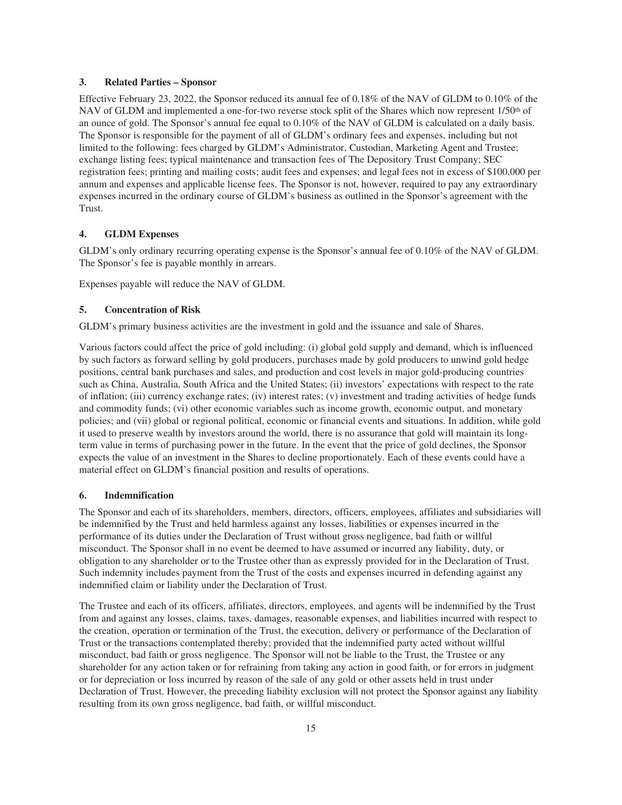#### **3. Related Parties – Sponsor**

Effective February 23, 2022, the Sponsor reduced its annual fee of 0.18% of the NAV of GLDM to 0.10% of the NAV of GLDM and implemented a one-for-two reverse stock split of the Shares which now represent 1/50<sup>th</sup> of an ounce of gold. The Sponsor's annual fee equal to 0.10% of the NAV of GLDM is calculated on a daily basis. The Sponsor is responsible for the payment of all of GLDM's ordinary fees and expenses, including but not limited to the following: fees charged by GLDM's Administrator, Custodian, Marketing Agent and Trustee; exchange listing fees; typical maintenance and transaction fees of The Depository Trust Company; SEC registration fees; printing and mailing costs; audit fees and expenses; and legal fees not in excess of \$100,000 per annum and expenses and applicable license fees. The Sponsor is not, however, required to pay any extraordinary expenses incurred in the ordinary course of GLDM's business as outlined in the Sponsor's agreement with the Trust.

# **4. GLDM Expenses**

GLDM's only ordinary recurring operating expense is the Sponsor's annual fee of 0.10% of the NAV of GLDM. The Sponsor's fee is payable monthly in arrears.

Expenses payable will reduce the NAV of GLDM.

# **5. Concentration of Risk**

GLDM's primary business activities are the investment in gold and the issuance and sale of Shares.

Various factors could affect the price of gold including: (i) global gold supply and demand, which is influenced by such factors as forward selling by gold producers, purchases made by gold producers to unwind gold hedge positions, central bank purchases and sales, and production and cost levels in major gold-producing countries such as China, Australia, South Africa and the United States; (ii) investors' expectations with respect to the rate of inflation; (iii) currency exchange rates; (iv) interest rates; (v) investment and trading activities of hedge funds and commodity funds; (vi) other economic variables such as income growth, economic output, and monetary policies; and (vii) global or regional political, economic or financial events and situations. In addition, while gold it used to preserve wealth by investors around the world, there is no assurance that gold will maintain its longterm value in terms of purchasing power in the future. In the event that the price of gold declines, the Sponsor expects the value of an investment in the Shares to decline proportionately. Each of these events could have a material effect on GLDM's financial position and results of operations.

#### **6. Indemnification**

The Sponsor and each of its shareholders, members, directors, officers, employees, affiliates and subsidiaries will be indemnified by the Trust and held harmless against any losses, liabilities or expenses incurred in the performance of its duties under the Declaration of Trust without gross negligence, bad faith or willful misconduct. The Sponsor shall in no event be deemed to have assumed or incurred any liability, duty, or obligation to any shareholder or to the Trustee other than as expressly provided for in the Declaration of Trust. Such indemnity includes payment from the Trust of the costs and expenses incurred in defending against any indemnified claim or liability under the Declaration of Trust.

The Trustee and each of its officers, affiliates, directors, employees, and agents will be indemnified by the Trust from and against any losses, claims, taxes, damages, reasonable expenses, and liabilities incurred with respect to the creation, operation or termination of the Trust, the execution, delivery or performance of the Declaration of Trust or the transactions contemplated thereby; provided that the indemnified party acted without willful misconduct, bad faith or gross negligence. The Sponsor will not be liable to the Trust, the Trustee or any shareholder for any action taken or for refraining from taking any action in good faith, or for errors in judgment or for depreciation or loss incurred by reason of the sale of any gold or other assets held in trust under Declaration of Trust. However, the preceding liability exclusion will not protect the Sponsor against any liability resulting from its own gross negligence, bad faith, or willful misconduct.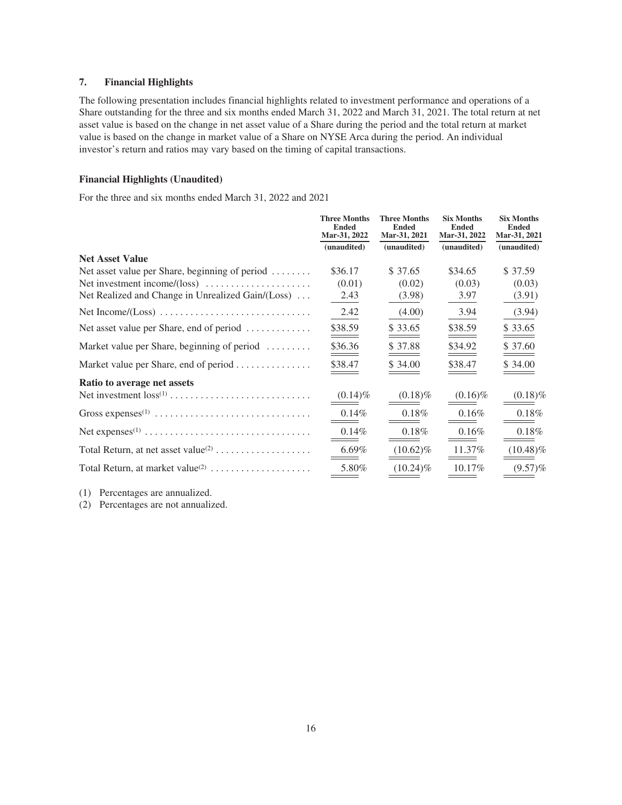# **7. Financial Highlights**

The following presentation includes financial highlights related to investment performance and operations of a Share outstanding for the three and six months ended March 31, 2022 and March 31, 2021. The total return at net asset value is based on the change in net asset value of a Share during the period and the total return at market value is based on the change in market value of a Share on NYSE Arca during the period. An individual investor's return and ratios may vary based on the timing of capital transactions.

# **Financial Highlights (Unaudited)**

For the three and six months ended March 31, 2022 and 2021

|                                                                    | <b>Three Months</b><br><b>Ended</b><br>Mar-31, 2022 | <b>Three Months</b><br><b>Ended</b><br>Mar-31, 2021 | <b>Six Months</b><br><b>Ended</b><br>Mar-31, 2022 | <b>Six Months</b><br><b>Ended</b><br>Mar-31, 2021 |
|--------------------------------------------------------------------|-----------------------------------------------------|-----------------------------------------------------|---------------------------------------------------|---------------------------------------------------|
|                                                                    | (unaudited)                                         | (unaudited)                                         | (unaudited)                                       | (unaudited)                                       |
| <b>Net Asset Value</b>                                             |                                                     |                                                     |                                                   |                                                   |
| Net asset value per Share, beginning of period                     | \$36.17                                             | \$ 37.65                                            | \$34.65                                           | \$ 37.59                                          |
| Net investment income/(loss) $\dots \dots \dots \dots \dots \dots$ | (0.01)                                              | (0.02)                                              | (0.03)                                            | (0.03)                                            |
| Net Realized and Change in Unrealized Gain/(Loss)                  | 2.43                                                | (3.98)                                              | 3.97                                              | (3.91)                                            |
|                                                                    | 2.42                                                | (4.00)                                              | 3.94                                              | (3.94)                                            |
| Net asset value per Share, end of period                           | \$38.59                                             | \$33.65                                             | \$38.59                                           | \$33.65                                           |
| Market value per Share, beginning of period                        | \$36.36                                             | \$37.88                                             | \$34.92                                           | \$37.60                                           |
| Market value per Share, end of period                              | \$38.47                                             | \$34.00                                             | \$38.47                                           | \$34.00                                           |
| Ratio to average net assets                                        |                                                     |                                                     |                                                   |                                                   |
|                                                                    | $(0.14)\%$                                          | $(0.18)\%$                                          | $(0.16)\%$                                        | $(0.18)\%$                                        |
|                                                                    | $0.14\%$                                            | 0.18%                                               | $0.16\%$                                          | 0.18%                                             |
|                                                                    | 0.14%                                               | $0.18\%$                                            | 0.16%                                             | 0.18%                                             |
|                                                                    | $6.69\%$                                            | $(10.62)\%$                                         | 11.37%                                            | $(10.48)\%$                                       |
|                                                                    | 5.80%                                               | $(10.24)\%$                                         | 10.17%                                            | $(9.57)\%$                                        |
|                                                                    |                                                     |                                                     |                                                   |                                                   |

(1) Percentages are annualized.

(2) Percentages are not annualized.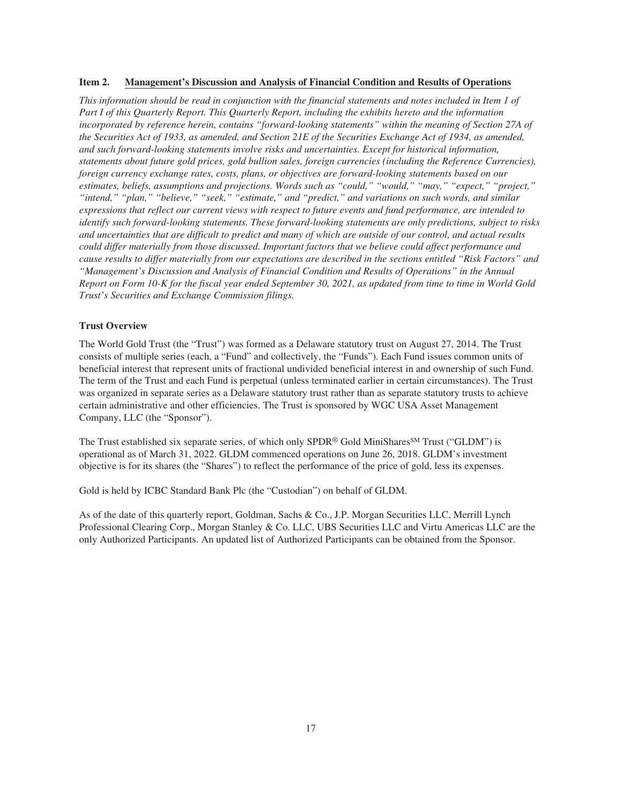# <span id="page-18-0"></span>**Item 2. Management's Discussion and Analysis of Financial Condition and Results of Operations**

*This information should be read in conjunction with the financial statements and notes included in Item 1 of Part I of this Quarterly Report. This Quarterly Report, including the exhibits hereto and the information incorporated by reference herein, contains "forward-looking statements" within the meaning of Section 27A of the Securities Act of 1933, as amended, and Section 21E of the Securities Exchange Act of 1934, as amended, and such forward-looking statements involve risks and uncertainties. Except for historical information, statements about future gold prices, gold bullion sales, foreign currencies (including the Reference Currencies), foreign currency exchange rates, costs, plans, or objectives are forward-looking statements based on our estimates, beliefs, assumptions and projections. Words such as "could," "would," "may," "expect," "project," "intend," "plan," "believe," "seek," "estimate," and "predict," and variations on such words, and similar expressions that reflect our current views with respect to future events and fund performance, are intended to identify such forward-looking statements. These forward-looking statements are only predictions, subject to risks and uncertainties that are difficult to predict and many of which are outside of our control, and actual results could differ materially from those discussed. Important factors that we believe could affect performance and cause results to differ materially from our expectations are described in the sections entitled "Risk Factors" and "Management's Discussion and Analysis of Financial Condition and Results of Operations" in the Annual Report on Form 10-K for the fiscal year ended September 30, 2021, as updated from time to time in World Gold Trust's Securities and Exchange Commission filings.*

#### **Trust Overview**

The World Gold Trust (the "Trust") was formed as a Delaware statutory trust on August 27, 2014. The Trust consists of multiple series (each, a "Fund" and collectively, the "Funds"). Each Fund issues common units of beneficial interest that represent units of fractional undivided beneficial interest in and ownership of such Fund. The term of the Trust and each Fund is perpetual (unless terminated earlier in certain circumstances). The Trust was organized in separate series as a Delaware statutory trust rather than as separate statutory trusts to achieve certain administrative and other efficiencies. The Trust is sponsored by WGC USA Asset Management Company, LLC (the "Sponsor").

The Trust established six separate series, of which only SPDR® Gold MiniShares<sup>SM</sup> Trust ("GLDM") is operational as of March 31, 2022. GLDM commenced operations on June 26, 2018. GLDM's investment objective is for its shares (the "Shares") to reflect the performance of the price of gold, less its expenses.

Gold is held by ICBC Standard Bank Plc (the "Custodian") on behalf of GLDM.

As of the date of this quarterly report, Goldman, Sachs & Co., J.P. Morgan Securities LLC, Merrill Lynch Professional Clearing Corp., Morgan Stanley & Co. LLC, UBS Securities LLC and Virtu Americas LLC are the only Authorized Participants. An updated list of Authorized Participants can be obtained from the Sponsor.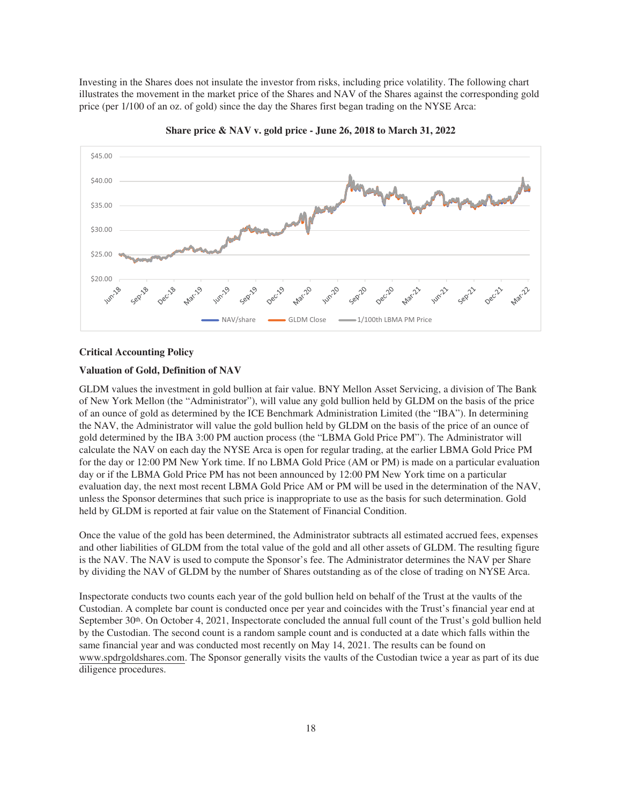Investing in the Shares does not insulate the investor from risks, including price volatility. The following chart illustrates the movement in the market price of the Shares and NAV of the Shares against the corresponding gold price (per 1/100 of an oz. of gold) since the day the Shares first began trading on the NYSE Arca:



**Share price & NAV v. gold price - June 26, 2018 to March 31, 2022**

#### **Critical Accounting Policy**

#### **Valuation of Gold, Definition of NAV**

GLDM values the investment in gold bullion at fair value. BNY Mellon Asset Servicing, a division of The Bank of New York Mellon (the "Administrator"), will value any gold bullion held by GLDM on the basis of the price of an ounce of gold as determined by the ICE Benchmark Administration Limited (the "IBA"). In determining the NAV, the Administrator will value the gold bullion held by GLDM on the basis of the price of an ounce of gold determined by the IBA 3:00 PM auction process (the "LBMA Gold Price PM"). The Administrator will calculate the NAV on each day the NYSE Arca is open for regular trading, at the earlier LBMA Gold Price PM for the day or 12:00 PM New York time. If no LBMA Gold Price (AM or PM) is made on a particular evaluation day or if the LBMA Gold Price PM has not been announced by 12:00 PM New York time on a particular evaluation day, the next most recent LBMA Gold Price AM or PM will be used in the determination of the NAV, unless the Sponsor determines that such price is inappropriate to use as the basis for such determination. Gold held by GLDM is reported at fair value on the Statement of Financial Condition.

Once the value of the gold has been determined, the Administrator subtracts all estimated accrued fees, expenses and other liabilities of GLDM from the total value of the gold and all other assets of GLDM. The resulting figure is the NAV. The NAV is used to compute the Sponsor's fee. The Administrator determines the NAV per Share by dividing the NAV of GLDM by the number of Shares outstanding as of the close of trading on NYSE Arca.

Inspectorate conducts two counts each year of the gold bullion held on behalf of the Trust at the vaults of the Custodian. A complete bar count is conducted once per year and coincides with the Trust's financial year end at September 30<sup>th</sup>. On October 4, 2021, Inspectorate concluded the annual full count of the Trust's gold bullion held by the Custodian. The second count is a random sample count and is conducted at a date which falls within the same financial year and was conducted most recently on May 14, 2021. The results can be found on www.spdrgoldshares.com. The Sponsor generally visits the vaults of the Custodian twice a year as part of its due diligence procedures.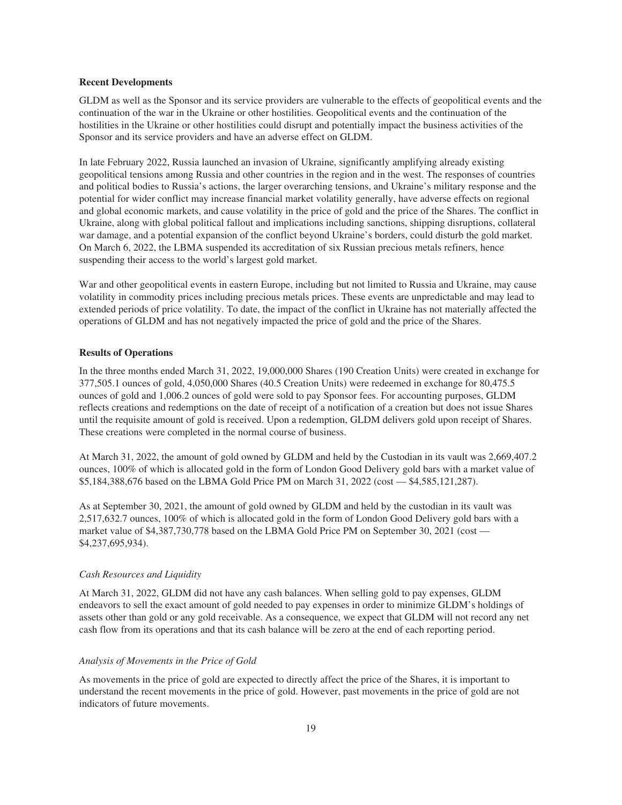#### **Recent Developments**

GLDM as well as the Sponsor and its service providers are vulnerable to the effects of geopolitical events and the continuation of the war in the Ukraine or other hostilities. Geopolitical events and the continuation of the hostilities in the Ukraine or other hostilities could disrupt and potentially impact the business activities of the Sponsor and its service providers and have an adverse effect on GLDM.

In late February 2022, Russia launched an invasion of Ukraine, significantly amplifying already existing geopolitical tensions among Russia and other countries in the region and in the west. The responses of countries and political bodies to Russia's actions, the larger overarching tensions, and Ukraine's military response and the potential for wider conflict may increase financial market volatility generally, have adverse effects on regional and global economic markets, and cause volatility in the price of gold and the price of the Shares. The conflict in Ukraine, along with global political fallout and implications including sanctions, shipping disruptions, collateral war damage, and a potential expansion of the conflict beyond Ukraine's borders, could disturb the gold market. On March 6, 2022, the LBMA suspended its accreditation of six Russian precious metals refiners, hence suspending their access to the world's largest gold market.

War and other geopolitical events in eastern Europe, including but not limited to Russia and Ukraine, may cause volatility in commodity prices including precious metals prices. These events are unpredictable and may lead to extended periods of price volatility. To date, the impact of the conflict in Ukraine has not materially affected the operations of GLDM and has not negatively impacted the price of gold and the price of the Shares.

#### **Results of Operations**

In the three months ended March 31, 2022, 19,000,000 Shares (190 Creation Units) were created in exchange for 377,505.1 ounces of gold, 4,050,000 Shares (40.5 Creation Units) were redeemed in exchange for 80,475.5 ounces of gold and 1,006.2 ounces of gold were sold to pay Sponsor fees. For accounting purposes, GLDM reflects creations and redemptions on the date of receipt of a notification of a creation but does not issue Shares until the requisite amount of gold is received. Upon a redemption, GLDM delivers gold upon receipt of Shares. These creations were completed in the normal course of business.

At March 31, 2022, the amount of gold owned by GLDM and held by the Custodian in its vault was 2,669,407.2 ounces, 100% of which is allocated gold in the form of London Good Delivery gold bars with a market value of \$5,184,388,676 based on the LBMA Gold Price PM on March 31, 2022 (cost — \$4,585,121,287).

As at September 30, 2021, the amount of gold owned by GLDM and held by the custodian in its vault was 2,517,632.7 ounces, 100% of which is allocated gold in the form of London Good Delivery gold bars with a market value of \$4,387,730,778 based on the LBMA Gold Price PM on September 30, 2021 (cost — \$4,237,695,934).

#### *Cash Resources and Liquidity*

At March 31, 2022, GLDM did not have any cash balances. When selling gold to pay expenses, GLDM endeavors to sell the exact amount of gold needed to pay expenses in order to minimize GLDM's holdings of assets other than gold or any gold receivable. As a consequence, we expect that GLDM will not record any net cash flow from its operations and that its cash balance will be zero at the end of each reporting period.

#### *Analysis of Movements in the Price of Gold*

As movements in the price of gold are expected to directly affect the price of the Shares, it is important to understand the recent movements in the price of gold. However, past movements in the price of gold are not indicators of future movements.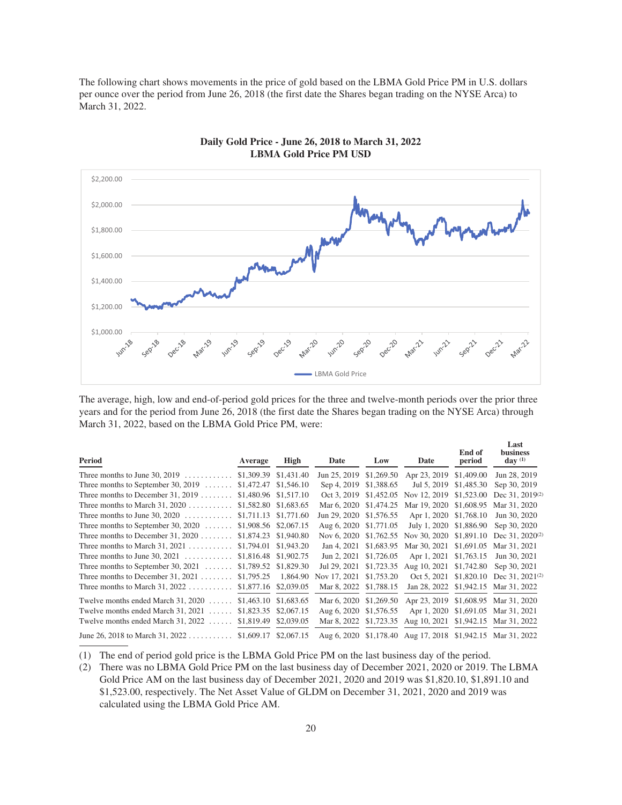The following chart shows movements in the price of gold based on the LBMA Gold Price PM in U.S. dollars per ounce over the period from June 26, 2018 (the first date the Shares began trading on the NYSE Arca) to March 31, 2022.



**Daily Gold Price - June 26, 2018 to March 31, 2022 LBMA Gold Price PM USD**

The average, high, low and end-of-period gold prices for the three and twelve-month periods over the prior three years and for the period from June 26, 2018 (the first date the Shares began trading on the NYSE Arca) through March 31, 2022, based on the LBMA Gold Price PM, were:

| Period                                            | Average    | High                  | Date         | Low        | Date                                                        | End of<br>period | Last<br><b>business</b><br>day $(1)$ |
|---------------------------------------------------|------------|-----------------------|--------------|------------|-------------------------------------------------------------|------------------|--------------------------------------|
| Three months to June $30, 2019$                   |            | \$1,309.39 \$1,431.40 | Jun 25, 2019 | \$1,269.50 | Apr 23, 2019 \$1,409.00                                     |                  | Jun 28, 2019                         |
| Three months to September 30, 2019 $\dots\dots$   |            | \$1,472.47 \$1,546.10 | Sep 4, 2019  | \$1,388.65 | Jul 5, 2019                                                 | \$1,485.30       | Sep 30, 2019                         |
| Three months to December 31, 2019 $\dots\dots$    |            | \$1,480.96 \$1,517.10 | Oct 3, 2019  | \$1,452.05 | Nov 12, 2019                                                | \$1,523.00       | Dec 31, 2019 <sup>(2)</sup>          |
| Three months to March 31, $2020$                  |            | \$1,582.80 \$1,683.65 | Mar 6, 2020  | \$1,474.25 | Mar 19, 2020 \$1,608.95                                     |                  | Mar 31, 2020                         |
| Three months to June 30, $2020$                   |            | \$1,711.13 \$1,771.60 | Jun 29, 2020 | \$1,576.55 | Apr 1, 2020 \$1,768.10                                      |                  | Jun 30, 2020                         |
| Three months to September 30, $2020$              |            | \$1,908.56 \$2,067.15 | Aug 6, 2020  | \$1,771.05 | July 1, 2020 \$1,886.90                                     |                  | Sep 30, 2020                         |
| Three months to December 31, 2020 $\dots\dots$    | \$1,874.23 | \$1,940.80            | Nov 6, 2020  | \$1,762.55 | Nov 30, 2020 \$1,891.10                                     |                  | Dec $31, 2020^{(2)}$                 |
| Three months to March $31, 2021$                  | \$1,794.01 | \$1,943.20            | Jan 4, 2021  | \$1,683.95 | Mar 30, 2021 \$1,691.05                                     |                  | Mar 31, 2021                         |
| Three months to June $30, 2021$                   |            | \$1,816.48 \$1,902.75 | Jun 2, 2021  | \$1,726.05 | Apr 1, 2021 \$1,763.15                                      |                  | Jun 30, 2021                         |
| Three months to September 30, $2021$              |            | \$1,789.52 \$1,829.30 | Jul 29, 2021 | \$1,723.35 | Aug 10, 2021                                                | \$1,742.80       | Sep 30, 2021                         |
| Three months to December 31, 2021                 | \$1,795.25 | 1,864.90              | Nov 17, 2021 | \$1,753.20 | Oct 5, 2021 \$1,820.10                                      |                  | Dec 31, $2021^{(2)}$                 |
| Three months to March 31, $2022$                  | \$1,877.16 | \$2,039.05            | Mar 8, 2022  | \$1,788.15 | Jan 28, 2022 \$1,942.15                                     |                  | Mar 31, 2022                         |
| Twelve months ended March 31, 2020<br>a a a a a a |            | \$1,463.10 \$1,683.65 | Mar 6, 2020  | \$1,269.50 |                                                             |                  | Apr 23, 2019 \$1,608.95 Mar 31, 2020 |
| Twelve months ended March $31, 2021$              | \$1,823.35 | \$2,067.15            | Aug 6, 2020  | \$1,576.55 |                                                             |                  | Apr 1, 2020 \$1,691.05 Mar 31, 2021  |
| Twelve months ended March $31, 2022$              | \$1,819.49 | \$2,039.05            | Mar 8, 2022  | \$1,723.35 | Aug 10, 2021                                                |                  | \$1,942.15 Mar 31, 2022              |
| June 26, 2018 to March 31, 2022                   |            | \$1,609.17 \$2,067.15 |              |            | Aug 6, 2020 \$1,178.40 Aug 17, 2018 \$1,942.15 Mar 31, 2022 |                  |                                      |

(1) The end of period gold price is the LBMA Gold Price PM on the last business day of the period.

(2) There was no LBMA Gold Price PM on the last business day of December 2021, 2020 or 2019. The LBMA Gold Price AM on the last business day of December 2021, 2020 and 2019 was \$1,820.10, \$1,891.10 and \$1,523.00, respectively. The Net Asset Value of GLDM on December 31, 2021, 2020 and 2019 was calculated using the LBMA Gold Price AM.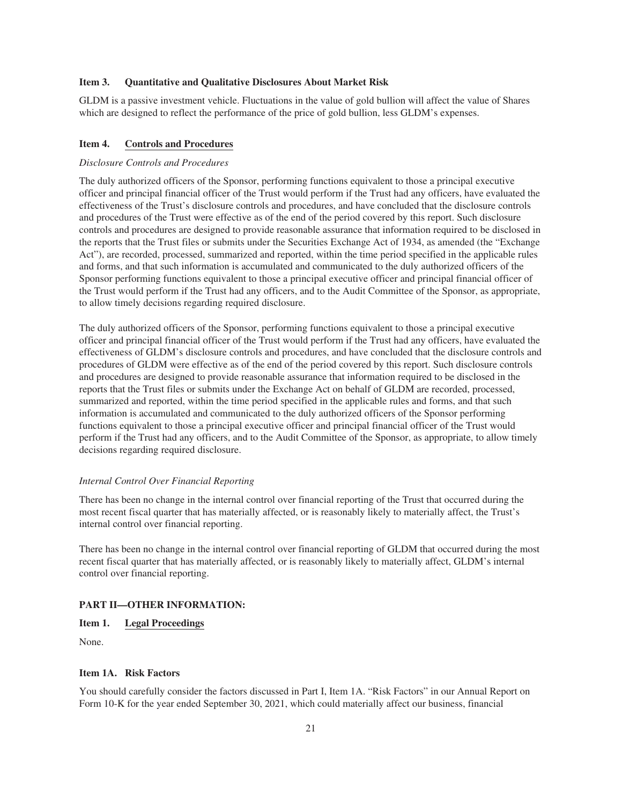#### <span id="page-22-0"></span>**Item 3. Quantitative and Qualitative Disclosures About Market Risk**

GLDM is a passive investment vehicle. Fluctuations in the value of gold bullion will affect the value of Shares which are designed to reflect the performance of the price of gold bullion, less GLDM's expenses.

#### <span id="page-22-1"></span>**Item 4. Controls and Procedures**

#### *Disclosure Controls and Procedures*

The duly authorized officers of the Sponsor, performing functions equivalent to those a principal executive officer and principal financial officer of the Trust would perform if the Trust had any officers, have evaluated the effectiveness of the Trust's disclosure controls and procedures, and have concluded that the disclosure controls and procedures of the Trust were effective as of the end of the period covered by this report. Such disclosure controls and procedures are designed to provide reasonable assurance that information required to be disclosed in the reports that the Trust files or submits under the Securities Exchange Act of 1934, as amended (the "Exchange Act"), are recorded, processed, summarized and reported, within the time period specified in the applicable rules and forms, and that such information is accumulated and communicated to the duly authorized officers of the Sponsor performing functions equivalent to those a principal executive officer and principal financial officer of the Trust would perform if the Trust had any officers, and to the Audit Committee of the Sponsor, as appropriate, to allow timely decisions regarding required disclosure.

The duly authorized officers of the Sponsor, performing functions equivalent to those a principal executive officer and principal financial officer of the Trust would perform if the Trust had any officers, have evaluated the effectiveness of GLDM's disclosure controls and procedures, and have concluded that the disclosure controls and procedures of GLDM were effective as of the end of the period covered by this report. Such disclosure controls and procedures are designed to provide reasonable assurance that information required to be disclosed in the reports that the Trust files or submits under the Exchange Act on behalf of GLDM are recorded, processed, summarized and reported, within the time period specified in the applicable rules and forms, and that such information is accumulated and communicated to the duly authorized officers of the Sponsor performing functions equivalent to those a principal executive officer and principal financial officer of the Trust would perform if the Trust had any officers, and to the Audit Committee of the Sponsor, as appropriate, to allow timely decisions regarding required disclosure.

#### *Internal Control Over Financial Reporting*

There has been no change in the internal control over financial reporting of the Trust that occurred during the most recent fiscal quarter that has materially affected, or is reasonably likely to materially affect, the Trust's internal control over financial reporting.

There has been no change in the internal control over financial reporting of GLDM that occurred during the most recent fiscal quarter that has materially affected, or is reasonably likely to materially affect, GLDM's internal control over financial reporting.

# <span id="page-22-3"></span><span id="page-22-2"></span>**PART II—OTHER INFORMATION:**

**Item 1. Legal Proceedings**

None.

#### <span id="page-22-4"></span>**Item 1A. Risk Factors**

You should carefully consider the factors discussed in Part I, Item 1A. "Risk Factors" in our Annual Report on Form 10-K for the year ended September 30, 2021, which could materially affect our business, financial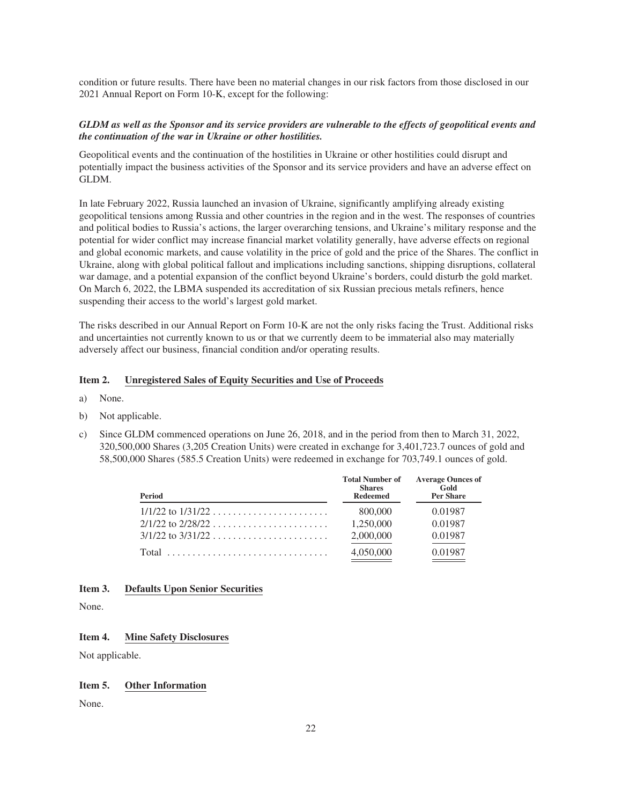condition or future results. There have been no material changes in our risk factors from those disclosed in our 2021 Annual Report on Form 10-K, except for the following:

# *GLDM as well as the Sponsor and its service providers are vulnerable to the effects of geopolitical events and the continuation of the war in Ukraine or other hostilities.*

Geopolitical events and the continuation of the hostilities in Ukraine or other hostilities could disrupt and potentially impact the business activities of the Sponsor and its service providers and have an adverse effect on GLDM.

In late February 2022, Russia launched an invasion of Ukraine, significantly amplifying already existing geopolitical tensions among Russia and other countries in the region and in the west. The responses of countries and political bodies to Russia's actions, the larger overarching tensions, and Ukraine's military response and the potential for wider conflict may increase financial market volatility generally, have adverse effects on regional and global economic markets, and cause volatility in the price of gold and the price of the Shares. The conflict in Ukraine, along with global political fallout and implications including sanctions, shipping disruptions, collateral war damage, and a potential expansion of the conflict beyond Ukraine's borders, could disturb the gold market. On March 6, 2022, the LBMA suspended its accreditation of six Russian precious metals refiners, hence suspending their access to the world's largest gold market.

The risks described in our Annual Report on Form 10-K are not the only risks facing the Trust. Additional risks and uncertainties not currently known to us or that we currently deem to be immaterial also may materially adversely affect our business, financial condition and/or operating results.

#### <span id="page-23-0"></span>**Item 2. Unregistered Sales of Equity Securities and Use of Proceeds**

- a) None.
- b) Not applicable.
- c) Since GLDM commenced operations on June 26, 2018, and in the period from then to March 31, 2022, 320,500,000 Shares (3,205 Creation Units) were created in exchange for 3,401,723.7 ounces of gold and 58,500,000 Shares (585.5 Creation Units) were redeemed in exchange for 703,749.1 ounces of gold.

| Period | <b>Total Number of</b><br><b>Shares</b><br><b>Redeemed</b> | <b>Average Ounces of</b><br>Gold<br><b>Per Share</b> |
|--------|------------------------------------------------------------|------------------------------------------------------|
|        | 800,000                                                    | 0.01987                                              |
|        | 1.250,000                                                  | 0.01987                                              |
|        | 2,000,000                                                  | 0.01987                                              |
|        | 4,050,000                                                  | 0.01987                                              |

#### <span id="page-23-1"></span>**Item 3. Defaults Upon Senior Securities**

None.

# <span id="page-23-2"></span>**Item 4. Mine Safety Disclosures**

Not applicable.

#### <span id="page-23-3"></span>**Item 5. Other Information**

None.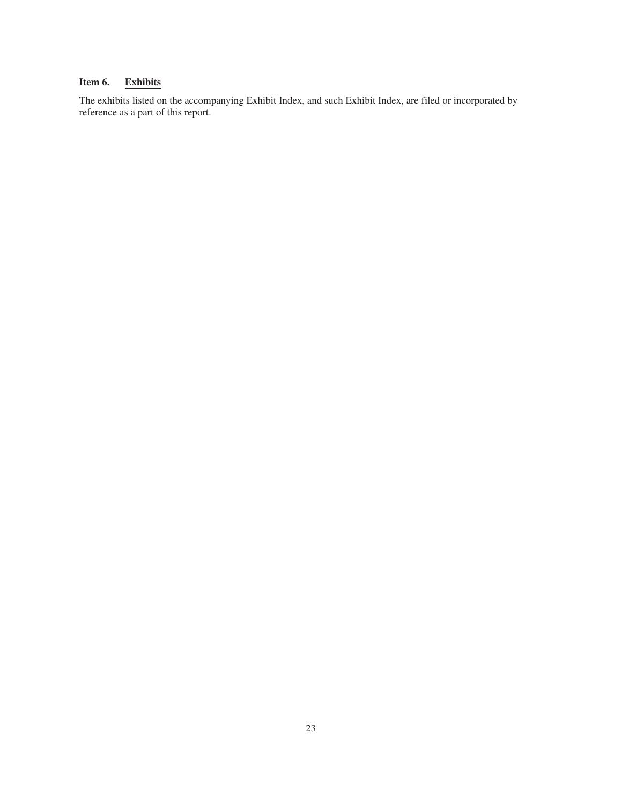# <span id="page-24-0"></span>**Item 6. Exhibits**

The exhibits listed on the accompanying Exhibit Index, and such Exhibit Index, are filed or incorporated by reference as a part of this report.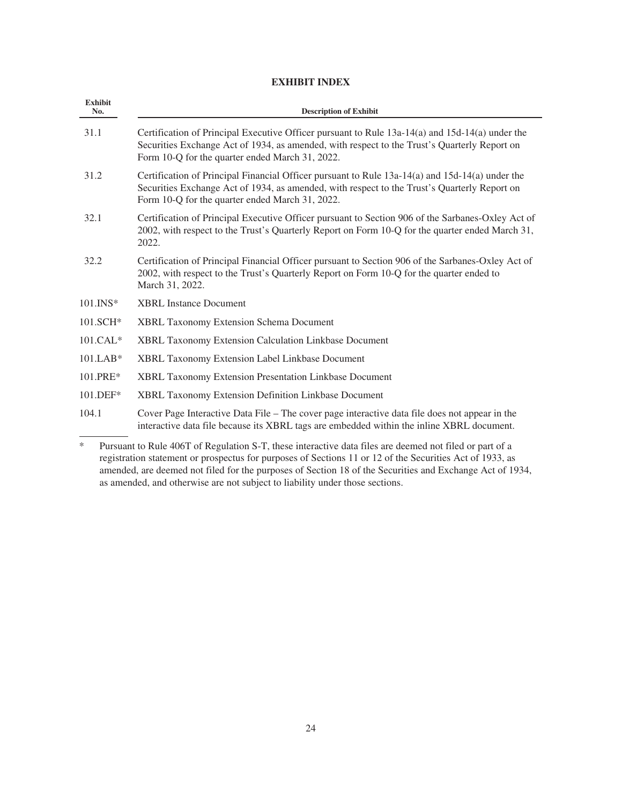# **EXHIBIT INDEX**

| <b>Exhibit</b><br>No. | <b>Description of Exhibit</b>                                                                                                                                                                                                                      |
|-----------------------|----------------------------------------------------------------------------------------------------------------------------------------------------------------------------------------------------------------------------------------------------|
| 31.1                  | Certification of Principal Executive Officer pursuant to Rule 13a-14(a) and 15d-14(a) under the<br>Securities Exchange Act of 1934, as amended, with respect to the Trust's Quarterly Report on<br>Form 10-Q for the quarter ended March 31, 2022. |
| 31.2                  | Certification of Principal Financial Officer pursuant to Rule 13a-14(a) and 15d-14(a) under the<br>Securities Exchange Act of 1934, as amended, with respect to the Trust's Quarterly Report on<br>Form 10-Q for the quarter ended March 31, 2022. |
| 32.1                  | Certification of Principal Executive Officer pursuant to Section 906 of the Sarbanes-Oxley Act of<br>2002, with respect to the Trust's Quarterly Report on Form 10-Q for the quarter ended March 31,<br>2022.                                      |
| 32.2                  | Certification of Principal Financial Officer pursuant to Section 906 of the Sarbanes-Oxley Act of<br>2002, with respect to the Trust's Quarterly Report on Form 10-Q for the quarter ended to<br>March 31, 2022.                                   |
| 101.INS*              | <b>XBRL</b> Instance Document                                                                                                                                                                                                                      |
| 101.SCH*              | <b>XBRL Taxonomy Extension Schema Document</b>                                                                                                                                                                                                     |
| $101.CAL*$            | XBRL Taxonomy Extension Calculation Linkbase Document                                                                                                                                                                                              |
| $101.LAB*$            | XBRL Taxonomy Extension Label Linkbase Document                                                                                                                                                                                                    |
| 101.PRE*              | <b>XBRL Taxonomy Extension Presentation Linkbase Document</b>                                                                                                                                                                                      |
| 101.DEF*              | XBRL Taxonomy Extension Definition Linkbase Document                                                                                                                                                                                               |
| 104.1                 | Cover Page Interactive Data File – The cover page interactive data file does not appear in the<br>interactive data file because its XBRL tags are embedded within the inline XBRL document.                                                        |
|                       | $10.6777$ $0.75$ $1.1$ $0.777$ $1.1$ $1.1$ $0.1$ $1.1$ $1.1$ $0.1$ $1.1$ $1.1$ $0.1$ $1.1$                                                                                                                                                         |

\* Pursuant to Rule 406T of Regulation S-T, these interactive data files are deemed not filed or part of a registration statement or prospectus for purposes of Sections 11 or 12 of the Securities Act of 1933, as amended, are deemed not filed for the purposes of Section 18 of the Securities and Exchange Act of 1934, as amended, and otherwise are not subject to liability under those sections.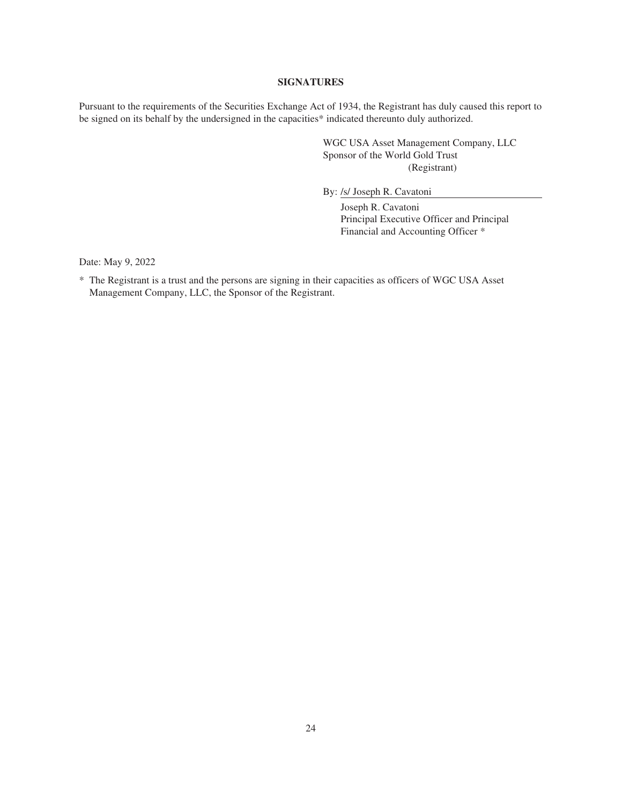#### **SIGNATURES**

<span id="page-26-0"></span>Pursuant to the requirements of the Securities Exchange Act of 1934, the Registrant has duly caused this report to be signed on its behalf by the undersigned in the capacities\* indicated thereunto duly authorized.

> WGC USA Asset Management Company, LLC Sponsor of the World Gold Trust (Registrant)

By: /s/ Joseph R. Cavatoni

Joseph R. Cavatoni Principal Executive Officer and Principal Financial and Accounting Officer \*

Date: May 9, 2022

\* The Registrant is a trust and the persons are signing in their capacities as officers of WGC USA Asset Management Company, LLC, the Sponsor of the Registrant.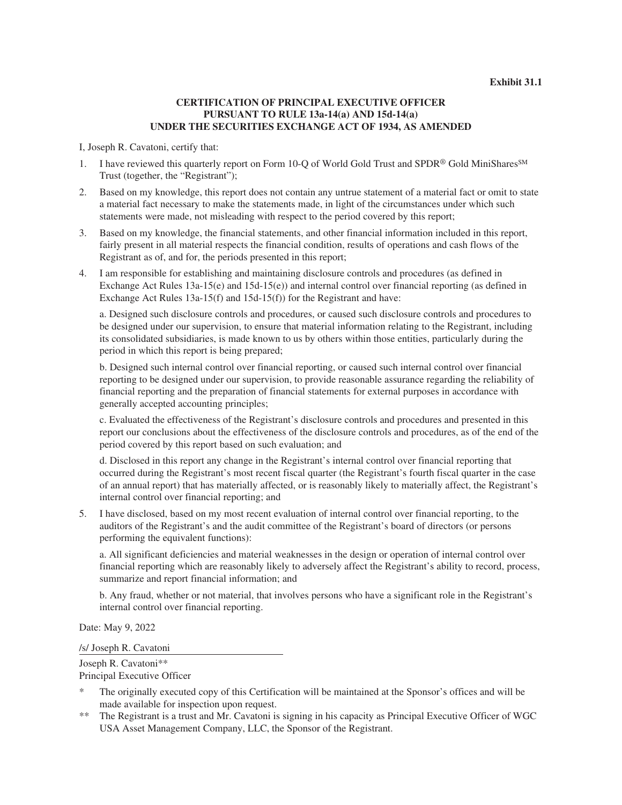# **CERTIFICATION OF PRINCIPAL EXECUTIVE OFFICER PURSUANT TO RULE 13a-14(a) AND 15d-14(a) UNDER THE SECURITIES EXCHANGE ACT OF 1934, AS AMENDED**

I, Joseph R. Cavatoni, certify that:

- 1. I have reviewed this quarterly report on Form 10-Q of World Gold Trust and SPDR® Gold MiniShares<sup>SM</sup> Trust (together, the "Registrant");
- 2. Based on my knowledge, this report does not contain any untrue statement of a material fact or omit to state a material fact necessary to make the statements made, in light of the circumstances under which such statements were made, not misleading with respect to the period covered by this report;
- 3. Based on my knowledge, the financial statements, and other financial information included in this report, fairly present in all material respects the financial condition, results of operations and cash flows of the Registrant as of, and for, the periods presented in this report;
- 4. I am responsible for establishing and maintaining disclosure controls and procedures (as defined in Exchange Act Rules 13a-15(e) and 15d-15(e)) and internal control over financial reporting (as defined in Exchange Act Rules 13a-15(f) and 15d-15(f)) for the Registrant and have:

a. Designed such disclosure controls and procedures, or caused such disclosure controls and procedures to be designed under our supervision, to ensure that material information relating to the Registrant, including its consolidated subsidiaries, is made known to us by others within those entities, particularly during the period in which this report is being prepared;

b. Designed such internal control over financial reporting, or caused such internal control over financial reporting to be designed under our supervision, to provide reasonable assurance regarding the reliability of financial reporting and the preparation of financial statements for external purposes in accordance with generally accepted accounting principles;

c. Evaluated the effectiveness of the Registrant's disclosure controls and procedures and presented in this report our conclusions about the effectiveness of the disclosure controls and procedures, as of the end of the period covered by this report based on such evaluation; and

d. Disclosed in this report any change in the Registrant's internal control over financial reporting that occurred during the Registrant's most recent fiscal quarter (the Registrant's fourth fiscal quarter in the case of an annual report) that has materially affected, or is reasonably likely to materially affect, the Registrant's internal control over financial reporting; and

5. I have disclosed, based on my most recent evaluation of internal control over financial reporting, to the auditors of the Registrant's and the audit committee of the Registrant's board of directors (or persons performing the equivalent functions):

a. All significant deficiencies and material weaknesses in the design or operation of internal control over financial reporting which are reasonably likely to adversely affect the Registrant's ability to record, process, summarize and report financial information; and

b. Any fraud, whether or not material, that involves persons who have a significant role in the Registrant's internal control over financial reporting.

Date: May 9, 2022

/s/ Joseph R. Cavatoni

Joseph R. Cavatoni\*\*

Principal Executive Officer

- The originally executed copy of this Certification will be maintained at the Sponsor's offices and will be made available for inspection upon request.
- \*\* The Registrant is a trust and Mr. Cavatoni is signing in his capacity as Principal Executive Officer of WGC USA Asset Management Company, LLC, the Sponsor of the Registrant.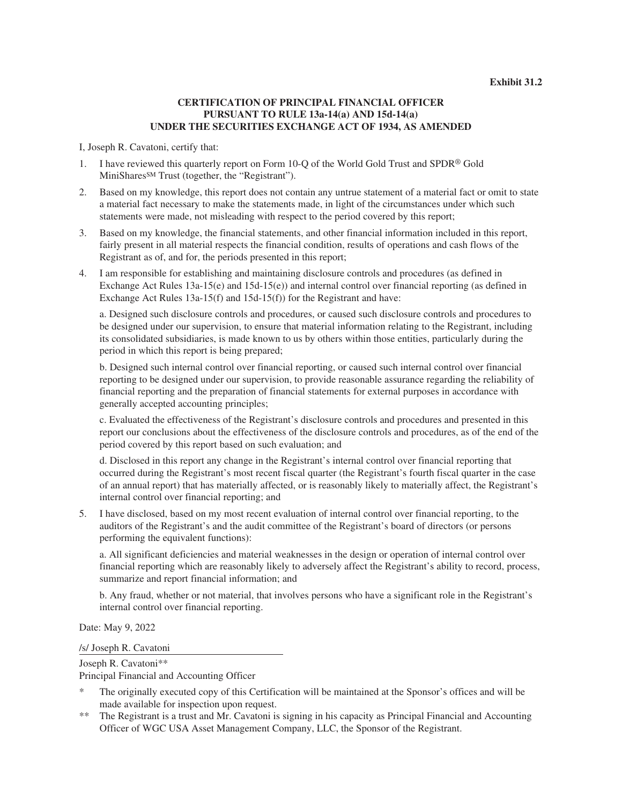# **CERTIFICATION OF PRINCIPAL FINANCIAL OFFICER PURSUANT TO RULE 13a-14(a) AND 15d-14(a) UNDER THE SECURITIES EXCHANGE ACT OF 1934, AS AMENDED**

I, Joseph R. Cavatoni, certify that:

- 1. I have reviewed this quarterly report on Form 10-Q of the World Gold Trust and SPDR® Gold MiniSharesSM Trust (together, the "Registrant").
- 2. Based on my knowledge, this report does not contain any untrue statement of a material fact or omit to state a material fact necessary to make the statements made, in light of the circumstances under which such statements were made, not misleading with respect to the period covered by this report;
- 3. Based on my knowledge, the financial statements, and other financial information included in this report, fairly present in all material respects the financial condition, results of operations and cash flows of the Registrant as of, and for, the periods presented in this report;
- 4. I am responsible for establishing and maintaining disclosure controls and procedures (as defined in Exchange Act Rules 13a-15(e) and 15d-15(e)) and internal control over financial reporting (as defined in Exchange Act Rules 13a-15(f) and 15d-15(f)) for the Registrant and have:

a. Designed such disclosure controls and procedures, or caused such disclosure controls and procedures to be designed under our supervision, to ensure that material information relating to the Registrant, including its consolidated subsidiaries, is made known to us by others within those entities, particularly during the period in which this report is being prepared;

b. Designed such internal control over financial reporting, or caused such internal control over financial reporting to be designed under our supervision, to provide reasonable assurance regarding the reliability of financial reporting and the preparation of financial statements for external purposes in accordance with generally accepted accounting principles;

c. Evaluated the effectiveness of the Registrant's disclosure controls and procedures and presented in this report our conclusions about the effectiveness of the disclosure controls and procedures, as of the end of the period covered by this report based on such evaluation; and

d. Disclosed in this report any change in the Registrant's internal control over financial reporting that occurred during the Registrant's most recent fiscal quarter (the Registrant's fourth fiscal quarter in the case of an annual report) that has materially affected, or is reasonably likely to materially affect, the Registrant's internal control over financial reporting; and

5. I have disclosed, based on my most recent evaluation of internal control over financial reporting, to the auditors of the Registrant's and the audit committee of the Registrant's board of directors (or persons performing the equivalent functions):

a. All significant deficiencies and material weaknesses in the design or operation of internal control over financial reporting which are reasonably likely to adversely affect the Registrant's ability to record, process, summarize and report financial information; and

b. Any fraud, whether or not material, that involves persons who have a significant role in the Registrant's internal control over financial reporting.

Date: May 9, 2022

/s/ Joseph R. Cavatoni

Joseph R. Cavatoni\*\* Principal Financial and Accounting Officer

- The originally executed copy of this Certification will be maintained at the Sponsor's offices and will be made available for inspection upon request.
- \*\* The Registrant is a trust and Mr. Cavatoni is signing in his capacity as Principal Financial and Accounting Officer of WGC USA Asset Management Company, LLC, the Sponsor of the Registrant.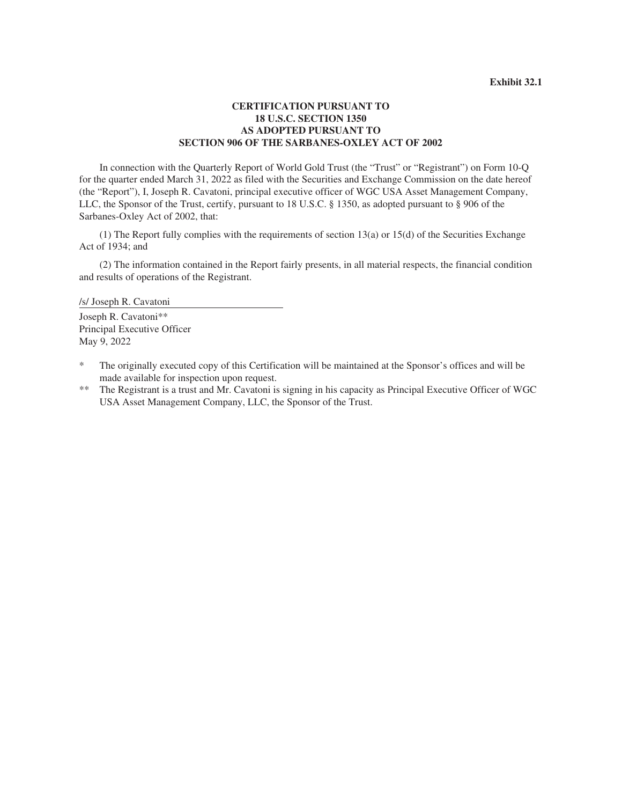# **CERTIFICATION PURSUANT TO 18 U.S.C. SECTION 1350 AS ADOPTED PURSUANT TO SECTION 906 OF THE SARBANES-OXLEY ACT OF 2002**

In connection with the Quarterly Report of World Gold Trust (the "Trust" or "Registrant") on Form 10-Q for the quarter ended March 31, 2022 as filed with the Securities and Exchange Commission on the date hereof (the "Report"), I, Joseph R. Cavatoni, principal executive officer of WGC USA Asset Management Company, LLC, the Sponsor of the Trust, certify, pursuant to 18 U.S.C. § 1350, as adopted pursuant to § 906 of the Sarbanes-Oxley Act of 2002, that:

(1) The Report fully complies with the requirements of section 13(a) or 15(d) of the Securities Exchange Act of 1934; and

(2) The information contained in the Report fairly presents, in all material respects, the financial condition and results of operations of the Registrant.

/s/ Joseph R. Cavatoni

Joseph R. Cavatoni\*\* Principal Executive Officer May 9, 2022

- \* The originally executed copy of this Certification will be maintained at the Sponsor's offices and will be made available for inspection upon request.
- \*\* The Registrant is a trust and Mr. Cavatoni is signing in his capacity as Principal Executive Officer of WGC USA Asset Management Company, LLC, the Sponsor of the Trust.